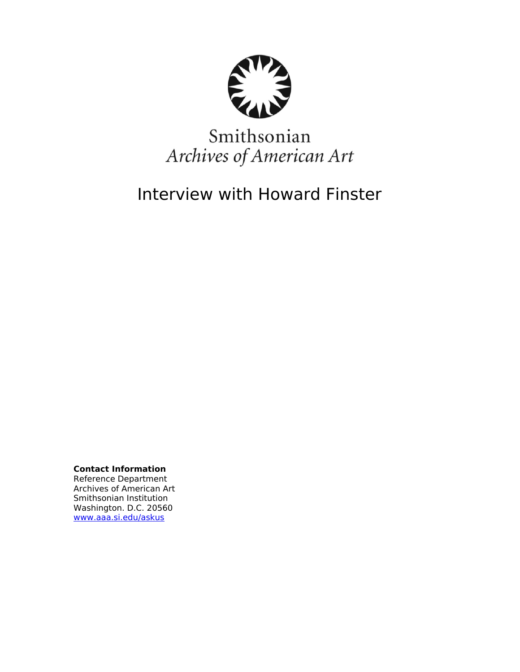

# Smithsonian Archives of American Art

Interview with Howard Finster

**Contact Information**

Reference Department Archives of American Art Smithsonian Institution Washington. D.C. 20560 [www.aaa.si.edu/askus](http://www.aaa.si.edu/askus)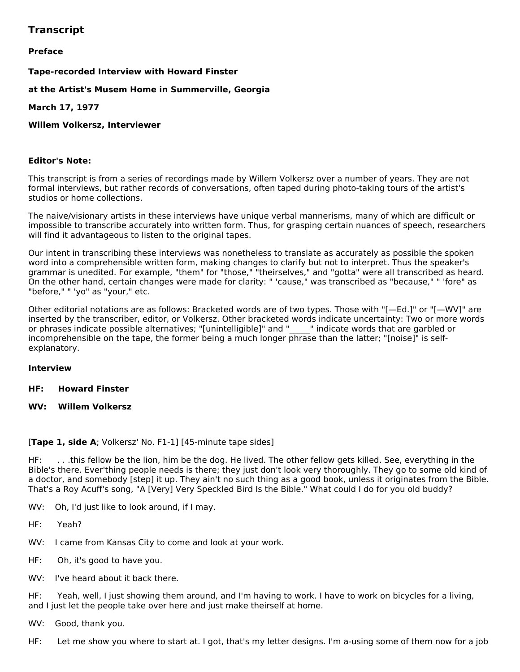# **Transcript**

# **Preface**

# **Tape-recorded Interview with Howard Finster**

**at the Artist's Musem Home in Summerville, Georgia**

**March 17, 1977**

# **Willem Volkersz, Interviewer**

# **Editor's Note:**

This transcript is from a series of recordings made by Willem Volkersz over a number of years. They are not formal interviews, but rather records of conversations, often taped during photo-taking tours of the artist's studios or home collections.

The naive/visionary artists in these interviews have unique verbal mannerisms, many of which are difficult or impossible to transcribe accurately into written form. Thus, for grasping certain nuances of speech, researchers will find it advantageous to listen to the original tapes.

Our intent in transcribing these interviews was nonetheless to translate as accurately as possible the spoken word into a comprehensible written form, making changes to clarify but not to interpret. Thus the speaker's grammar is unedited. For example, "them" for "those," "theirselves," and "gotta" were all transcribed as heard. On the other hand, certain changes were made for clarity: " 'cause," was transcribed as "because," " 'fore" as "before," " 'yo" as "your," etc.

Other editorial notations are as follows: Bracketed words are of two types. Those with "[—Ed.]" or "[—WV]" are inserted by the transcriber, editor, or Volkersz. Other bracketed words indicate uncertainty: Two or more words or phrases indicate possible alternatives; "[unintelligible]" and " \_\_\_" indicate words that are garbled or incomprehensible on the tape, the former being a much longer phrase than the latter; "[noise]" is selfexplanatory.

# **Interview**

- **HF: Howard Finster**
- **WV: Willem Volkersz**

# [**Tape 1, side A**; Volkersz' No. F1-1] [45-minute tape sides]

HF: . . .this fellow be the lion, him be the dog. He lived. The other fellow gets killed. See, everything in the Bible's there. Ever'thing people needs is there; they just don't look very thoroughly. They go to some old kind of a doctor, and somebody [step] it up. They ain't no such thing as a good book, unless it originates from the Bible. That's a Roy Acuff's song, "A [Very] Very Speckled Bird Is the Bible." What could I do for you old buddy?

WV: Oh, I'd just like to look around, if I may.

HF: Yeah?

- WV: I came from Kansas City to come and look at your work.
- HF: Oh, it's good to have you.
- WV: I've heard about it back there.

HF: Yeah, well, I just showing them around, and I'm having to work. I have to work on bicycles for a living, and I just let the people take over here and just make theirself at home.

WV: Good, thank you.

HF: Let me show you where to start at. I got, that's my letter designs. I'm a-using some of them now for a job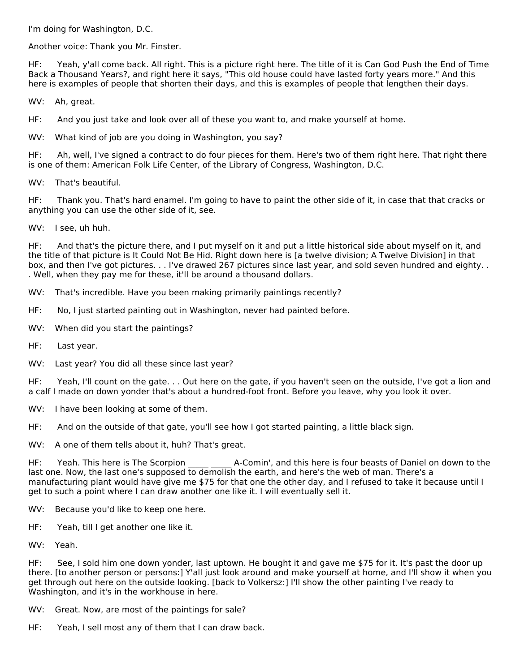I'm doing for Washington, D.C.

Another voice: Thank you Mr. Finster.

HF: Yeah, y'all come back. All right. This is a picture right here. The title of it is Can God Push the End of Time Back a Thousand Years?, and right here it says, "This old house could have lasted forty years more." And this here is examples of people that shorten their days, and this is examples of people that lengthen their days.

WV: Ah, great.

HF: And you just take and look over all of these you want to, and make yourself at home.

WV: What kind of job are you doing in Washington, you say?

HF: Ah, well, I've signed a contract to do four pieces for them. Here's two of them right here. That right there is one of them: American Folk Life Center, of the Library of Congress, Washington, D.C.

WV: That's beautiful.

HF: Thank you. That's hard enamel. I'm going to have to paint the other side of it, in case that that cracks or anything you can use the other side of it, see.

WV: I see, uh huh.

HF: And that's the picture there, and I put myself on it and put a little historical side about myself on it, and the title of that picture is It Could Not Be Hid. Right down here is [a twelve division; A Twelve Division] in that box, and then I've got pictures. . . I've drawed 267 pictures since last year, and sold seven hundred and eighty. . . Well, when they pay me for these, it'll be around a thousand dollars.

WV: That's incredible. Have you been making primarily paintings recently?

- HF: No, I just started painting out in Washington, never had painted before.
- WV: When did you start the paintings?
- HF: Last year.
- WV: Last year? You did all these since last year?

HF: Yeah, I'll count on the gate. . . Out here on the gate, if you haven't seen on the outside, I've got a lion and a calf I made on down yonder that's about a hundred-foot front. Before you leave, why you look it over.

WV: I have been looking at some of them.

HF: And on the outside of that gate, you'll see how I got started painting, a little black sign.

WV: A one of them tells about it, huh? That's great.

HF: Yeah. This here is The Scorpion **A-Comin'**, and this here is four beasts of Daniel on down to the last one. Now, the last one's supposed to demolish the earth, and here's the web of man. There's a manufacturing plant would have give me \$75 for that one the other day, and I refused to take it because until I get to such a point where I can draw another one like it. I will eventually sell it.

- WV: Because you'd like to keep one here.
- HF: Yeah, till I get another one like it.
- WV: Yeah.

HF: See, I sold him one down yonder, last uptown. He bought it and gave me \$75 for it. It's past the door up there. [to another person or persons:] Y'all just look around and make yourself at home, and I'll show it when you get through out here on the outside looking. [back to Volkersz:] I'll show the other painting I've ready to Washington, and it's in the workhouse in here.

WV: Great. Now, are most of the paintings for sale?

HF: Yeah, I sell most any of them that I can draw back.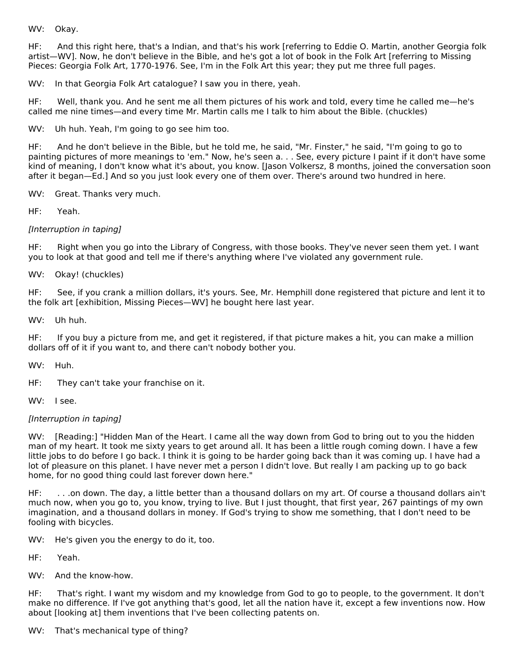WV: Okay.

HF: And this right here, that's a Indian, and that's his work [referring to Eddie O. Martin, another Georgia folk artist—WV]. Now, he don't believe in the Bible, and he's got a lot of book in the Folk Art [referring to Missing Pieces: Georgia Folk Art, 1770-1976. See, I'm in the Folk Art this year; they put me three full pages.

WV: In that Georgia Folk Art catalogue? I saw you in there, yeah.

HF: Well, thank you. And he sent me all them pictures of his work and told, every time he called me—he's called me nine times—and every time Mr. Martin calls me I talk to him about the Bible. (chuckles)

WV: Uh huh. Yeah, I'm going to go see him too.

HF: And he don't believe in the Bible, but he told me, he said, "Mr. Finster," he said, "I'm going to go to painting pictures of more meanings to 'em." Now, he's seen a. . . See, every picture I paint if it don't have some kind of meaning, I don't know what it's about, you know. [Jason Volkersz, 8 months, joined the conversation soon after it began—Ed.] And so you just look every one of them over. There's around two hundred in here.

WV: Great. Thanks very much.

HF: Yeah.

[Interruption in taping]

HF: Right when you go into the Library of Congress, with those books. They've never seen them yet. I want you to look at that good and tell me if there's anything where I've violated any government rule.

WV: Okay! (chuckles)

HF: See, if you crank a million dollars, it's yours. See, Mr. Hemphill done registered that picture and lent it to the folk art [exhibition, Missing Pieces—WV] he bought here last year.

WV: Uh huh.

HF: If you buy a picture from me, and get it registered, if that picture makes a hit, you can make a million dollars off of it if you want to, and there can't nobody bother you.

WV: Huh.

HF: They can't take your franchise on it.

WV: I see.

#### [Interruption in taping]

WV: [Reading:] "Hidden Man of the Heart. I came all the way down from God to bring out to you the hidden man of my heart. It took me sixty years to get around all. It has been a little rough coming down. I have a few little jobs to do before I go back. I think it is going to be harder going back than it was coming up. I have had a lot of pleasure on this planet. I have never met a person I didn't love. But really I am packing up to go back home, for no good thing could last forever down here."

HF: . . .on down. The day, a little better than a thousand dollars on my art. Of course a thousand dollars ain't much now, when you go to, you know, trying to live. But I just thought, that first year, 267 paintings of my own imagination, and a thousand dollars in money. If God's trying to show me something, that I don't need to be fooling with bicycles.

WV: He's given you the energy to do it, too.

HF: Yeah.

WV: And the know-how.

HF: That's right. I want my wisdom and my knowledge from God to go to people, to the government. It don't make no difference. If I've got anything that's good, let all the nation have it, except a few inventions now. How about [looking at] them inventions that I've been collecting patents on.

WV: That's mechanical type of thing?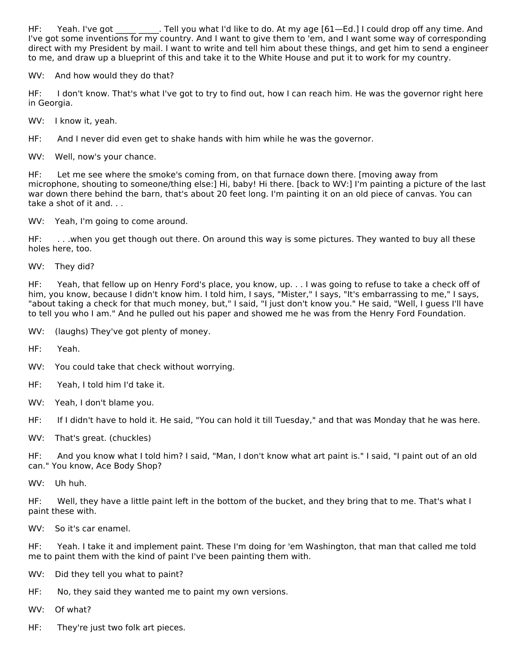HF: Yeah. I've got Tell you what I'd like to do. At my age [61—Ed.] I could drop off any time. And I've got some inventions for my country. And I want to give them to 'em, and I want some way of corresponding direct with my President by mail. I want to write and tell him about these things, and get him to send a engineer to me, and draw up a blueprint of this and take it to the White House and put it to work for my country.

WV: And how would they do that?

HF: I don't know. That's what I've got to try to find out, how I can reach him. He was the governor right here in Georgia.

WV: I know it, yeah.

HF: And I never did even get to shake hands with him while he was the governor.

WV: Well, now's your chance.

HF: Let me see where the smoke's coming from, on that furnace down there. [moving away from microphone, shouting to someone/thing else:] Hi, baby! Hi there. [back to WV:] I'm painting a picture of the last war down there behind the barn, that's about 20 feet long. I'm painting it on an old piece of canvas. You can take a shot of it and. . .

WV: Yeah, I'm going to come around.

HF: . . .when you get though out there. On around this way is some pictures. They wanted to buy all these holes here, too.

WV: They did?

HF: Yeah, that fellow up on Henry Ford's place, you know, up. . . I was going to refuse to take a check off of him, you know, because I didn't know him. I told him, I says, "Mister," I says, "It's embarrassing to me," I says, "about taking a check for that much money, but," I said, "I just don't know you." He said, "Well, I guess I'll have to tell you who I am." And he pulled out his paper and showed me he was from the Henry Ford Foundation.

WV: (laughs) They've got plenty of money.

HF: Yeah.

WV: You could take that check without worrying.

- HF: Yeah, I told him I'd take it.
- WV: Yeah, I don't blame you.

HF: If I didn't have to hold it. He said, "You can hold it till Tuesday," and that was Monday that he was here.

WV: That's great. (chuckles)

HF: And you know what I told him? I said, "Man, I don't know what art paint is." I said, "I paint out of an old can." You know, Ace Body Shop?

WV: Uh huh.

HF: Well, they have a little paint left in the bottom of the bucket, and they bring that to me. That's what I paint these with.

WV: So it's car enamel.

HF: Yeah. I take it and implement paint. These I'm doing for 'em Washington, that man that called me told me to paint them with the kind of paint I've been painting them with.

- WV: Did they tell you what to paint?
- HF: No, they said they wanted me to paint my own versions.
- WV: Of what?
- HF: They're just two folk art pieces.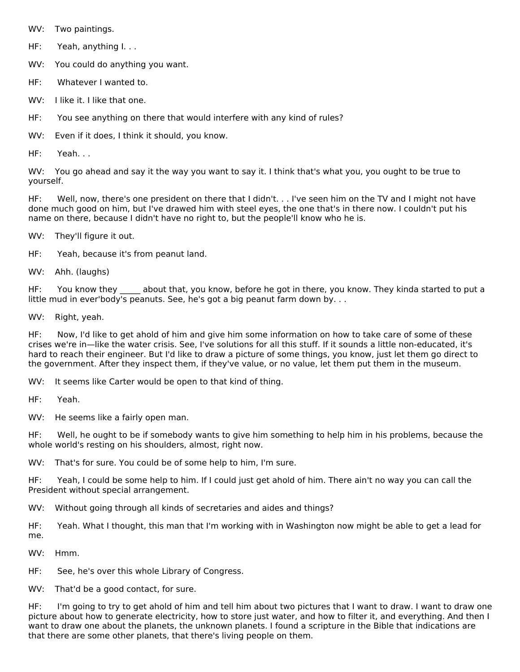WV: Two paintings.

HF: Yeah, anything I. . .

WV: You could do anything you want.

HF: Whatever I wanted to.

WV: I like it. I like that one.

HF: You see anything on there that would interfere with any kind of rules?

WV: Even if it does, I think it should, you know.

HF: Yeah. . .

WV: You go ahead and say it the way you want to say it. I think that's what you, you ought to be true to yourself.

HF: Well, now, there's one president on there that I didn't. . . I've seen him on the TV and I might not have done much good on him, but I've drawed him with steel eyes, the one that's in there now. I couldn't put his name on there, because I didn't have no right to, but the people'll know who he is.

WV: They'll figure it out.

HF: Yeah, because it's from peanut land.

WV: Ahh. (laughs)

HF: You know they \_\_\_\_\_ about that, you know, before he got in there, you know. They kinda started to put a little mud in ever'body's peanuts. See, he's got a big peanut farm down by. . .

WV: Right, yeah.

HF: Now, I'd like to get ahold of him and give him some information on how to take care of some of these crises we're in—like the water crisis. See, I've solutions for all this stuff. If it sounds a little non-educated, it's hard to reach their engineer. But I'd like to draw a picture of some things, you know, just let them go direct to the government. After they inspect them, if they've value, or no value, let them put them in the museum.

WV: It seems like Carter would be open to that kind of thing.

HF: Yeah.

WV: He seems like a fairly open man.

HF: Well, he ought to be if somebody wants to give him something to help him in his problems, because the whole world's resting on his shoulders, almost, right now.

WV: That's for sure. You could be of some help to him, I'm sure.

HF: Yeah, I could be some help to him. If I could just get ahold of him. There ain't no way you can call the President without special arrangement.

WV: Without going through all kinds of secretaries and aides and things?

HF: Yeah. What I thought, this man that I'm working with in Washington now might be able to get a lead for me.

WV: Hmm.

HF: See, he's over this whole Library of Congress.

WV: That'd be a good contact, for sure.

HF: I'm going to try to get ahold of him and tell him about two pictures that I want to draw. I want to draw one picture about how to generate electricity, how to store just water, and how to filter it, and everything. And then I want to draw one about the planets, the unknown planets. I found a scripture in the Bible that indications are that there are some other planets, that there's living people on them.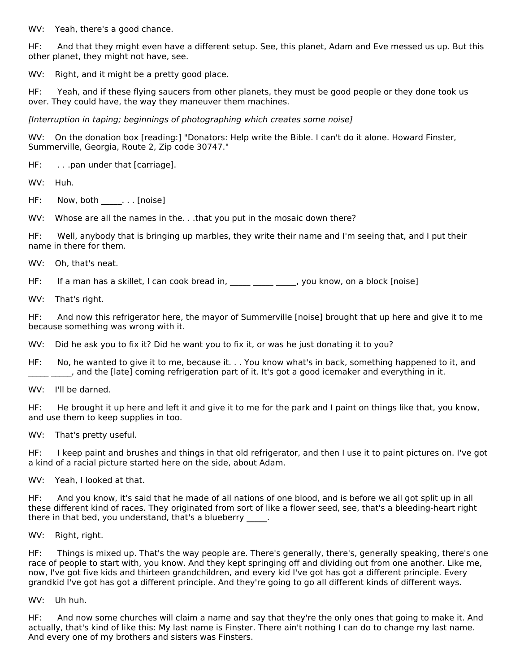WV: Yeah, there's a good chance.

HF: And that they might even have a different setup. See, this planet, Adam and Eve messed us up. But this other planet, they might not have, see.

WV: Right, and it might be a pretty good place.

HF: Yeah, and if these flying saucers from other planets, they must be good people or they done took us over. They could have, the way they maneuver them machines.

[Interruption in taping; beginnings of photographing which creates some noise]

WV: On the donation box [reading:] "Donators: Help write the Bible. I can't do it alone. Howard Finster, Summerville, Georgia, Route 2, Zip code 30747."

HF: . . .pan under that [carriage].

WV: Huh.

HF: Now, both \_\_\_\_\_... [noise]

WV: Whose are all the names in the. . .that you put in the mosaic down there?

HF: Well, anybody that is bringing up marbles, they write their name and I'm seeing that, and I put their name in there for them.

WV: Oh, that's neat.

HF: If a man has a skillet, I can cook bread in, \_\_\_\_\_ \_\_\_\_\_\_\_, you know, on a block [noise]

WV: That's right.

HF: And now this refrigerator here, the mayor of Summerville [noise] brought that up here and give it to me because something was wrong with it.

WV: Did he ask you to fix it? Did he want you to fix it, or was he just donating it to you?

HF: No, he wanted to give it to me, because it. . . You know what's in back, something happened to it, and \_\_ \_\_\_\_, and the [late] coming refrigeration part of it. It's got a good icemaker and everything in it.

WV: I'll be darned.

HF: He brought it up here and left it and give it to me for the park and I paint on things like that, you know, and use them to keep supplies in too.

WV: That's pretty useful.

HF: I keep paint and brushes and things in that old refrigerator, and then I use it to paint pictures on. I've got a kind of a racial picture started here on the side, about Adam.

WV: Yeah, I looked at that.

HF: And you know, it's said that he made of all nations of one blood, and is before we all got split up in all these different kind of races. They originated from sort of like a flower seed, see, that's a bleeding-heart right there in that bed, you understand, that's a blueberry

WV: Right, right.

HF: Things is mixed up. That's the way people are. There's generally, there's, generally speaking, there's one race of people to start with, you know. And they kept springing off and dividing out from one another. Like me, now, I've got five kids and thirteen grandchildren, and every kid I've got has got a different principle. Every grandkid I've got has got a different principle. And they're going to go all different kinds of different ways.

WV: Uh huh.

HF: And now some churches will claim a name and say that they're the only ones that going to make it. And actually, that's kind of like this: My last name is Finster. There ain't nothing I can do to change my last name. And every one of my brothers and sisters was Finsters.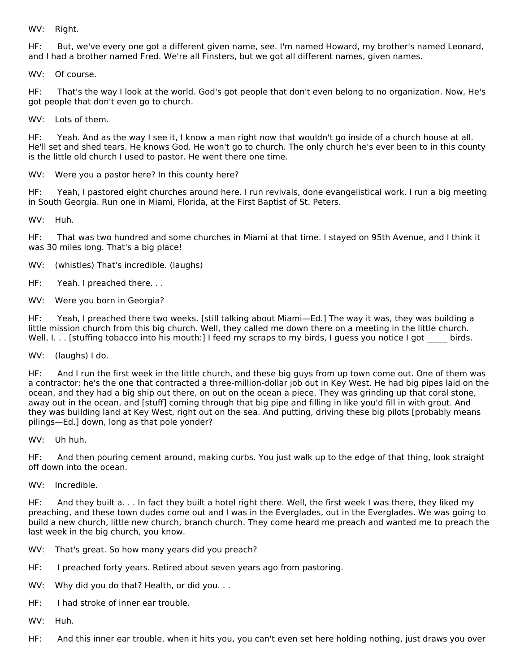WV: Right.

HF: But, we've every one got a different given name, see. I'm named Howard, my brother's named Leonard, and I had a brother named Fred. We're all Finsters, but we got all different names, given names.

WV: Of course.

HF: That's the way I look at the world. God's got people that don't even belong to no organization. Now, He's got people that don't even go to church.

WV: Lots of them.

HF: Yeah. And as the way I see it, I know a man right now that wouldn't go inside of a church house at all. He'll set and shed tears. He knows God. He won't go to church. The only church he's ever been to in this county is the little old church I used to pastor. He went there one time.

WV: Were you a pastor here? In this county here?

HF: Yeah, I pastored eight churches around here. I run revivals, done evangelistical work. I run a big meeting in South Georgia. Run one in Miami, Florida, at the First Baptist of St. Peters.

WV: Huh.

HF: That was two hundred and some churches in Miami at that time. I stayed on 95th Avenue, and I think it was 30 miles long. That's a big place!

WV: (whistles) That's incredible. (laughs)

HF: Yeah. I preached there. . .

WV: Were you born in Georgia?

HF: Yeah, I preached there two weeks. [still talking about Miami—Ed.] The way it was, they was building a little mission church from this big church. Well, they called me down there on a meeting in the little church. Well, I. . . [stuffing tobacco into his mouth:] I feed my scraps to my birds, I guess you notice I got birds.

WV: (laughs) I do.

HF: And I run the first week in the little church, and these big guys from up town come out. One of them was a contractor; he's the one that contracted a three-million-dollar job out in Key West. He had big pipes laid on the ocean, and they had a big ship out there, on out on the ocean a piece. They was grinding up that coral stone, away out in the ocean, and [stuff] coming through that big pipe and filling in like you'd fill in with grout. And they was building land at Key West, right out on the sea. And putting, driving these big pilots [probably means pilings—Ed.] down, long as that pole yonder?

WV: Uh huh.

HF: And then pouring cement around, making curbs. You just walk up to the edge of that thing, look straight off down into the ocean.

WV: Incredible.

HF: And they built a. . . In fact they built a hotel right there. Well, the first week I was there, they liked my preaching, and these town dudes come out and I was in the Everglades, out in the Everglades. We was going to build a new church, little new church, branch church. They come heard me preach and wanted me to preach the last week in the big church, you know.

- WV: That's great. So how many years did you preach?
- HF: I preached forty years. Retired about seven years ago from pastoring.
- WV: Why did you do that? Health, or did you...
- HF: I had stroke of inner ear trouble.
- WV: Huh.
- HF: And this inner ear trouble, when it hits you, you can't even set here holding nothing, just draws you over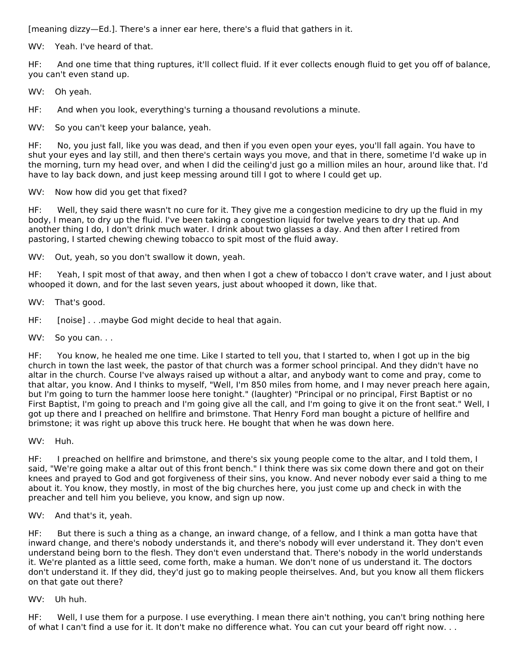[meaning dizzy—Ed.]. There's a inner ear here, there's a fluid that gathers in it.

WV: Yeah. I've heard of that.

HF: And one time that thing ruptures, it'll collect fluid. If it ever collects enough fluid to get you off of balance, you can't even stand up.

# WV: Oh yeah.

HF: And when you look, everything's turning a thousand revolutions a minute.

WV: So you can't keep your balance, yeah.

HF: No, you just fall, like you was dead, and then if you even open your eyes, you'll fall again. You have to shut your eyes and lay still, and then there's certain ways you move, and that in there, sometime I'd wake up in the morning, turn my head over, and when I did the ceiling'd just go a million miles an hour, around like that. I'd have to lay back down, and just keep messing around till I got to where I could get up.

# WV: Now how did you get that fixed?

HF: Well, they said there wasn't no cure for it. They give me a congestion medicine to dry up the fluid in my body, I mean, to dry up the fluid. I've been taking a congestion liquid for twelve years to dry that up. And another thing I do, I don't drink much water. I drink about two glasses a day. And then after I retired from pastoring, I started chewing chewing tobacco to spit most of the fluid away.

WV: Out, yeah, so you don't swallow it down, yeah.

HF: Yeah, I spit most of that away, and then when I got a chew of tobacco I don't crave water, and I just about whooped it down, and for the last seven years, just about whooped it down, like that.

WV: That's good.

HF: [noise] . . .maybe God might decide to heal that again.

WV: So you can...

HF: You know, he healed me one time. Like I started to tell you, that I started to, when I got up in the big church in town the last week, the pastor of that church was a former school principal. And they didn't have no altar in the church. Course I've always raised up without a altar, and anybody want to come and pray, come to that altar, you know. And I thinks to myself, "Well, I'm 850 miles from home, and I may never preach here again, but I'm going to turn the hammer loose here tonight." (laughter) "Principal or no principal, First Baptist or no First Baptist, I'm going to preach and I'm going give all the call, and I'm going to give it on the front seat." Well, I got up there and I preached on hellfire and brimstone. That Henry Ford man bought a picture of hellfire and brimstone; it was right up above this truck here. He bought that when he was down here.

WV: Huh.

HF: I preached on hellfire and brimstone, and there's six young people come to the altar, and I told them, I said, "We're going make a altar out of this front bench." I think there was six come down there and got on their knees and prayed to God and got forgiveness of their sins, you know. And never nobody ever said a thing to me about it. You know, they mostly, in most of the big churches here, you just come up and check in with the preacher and tell him you believe, you know, and sign up now.

WV: And that's it, yeah.

HF: But there is such a thing as a change, an inward change, of a fellow, and I think a man gotta have that inward change, and there's nobody understands it, and there's nobody will ever understand it. They don't even understand being born to the flesh. They don't even understand that. There's nobody in the world understands it. We're planted as a little seed, come forth, make a human. We don't none of us understand it. The doctors don't understand it. If they did, they'd just go to making people theirselves. And, but you know all them flickers on that gate out there?

WV: Uh huh.

HF: Well, I use them for a purpose. I use everything. I mean there ain't nothing, you can't bring nothing here of what I can't find a use for it. It don't make no difference what. You can cut your beard off right now. . .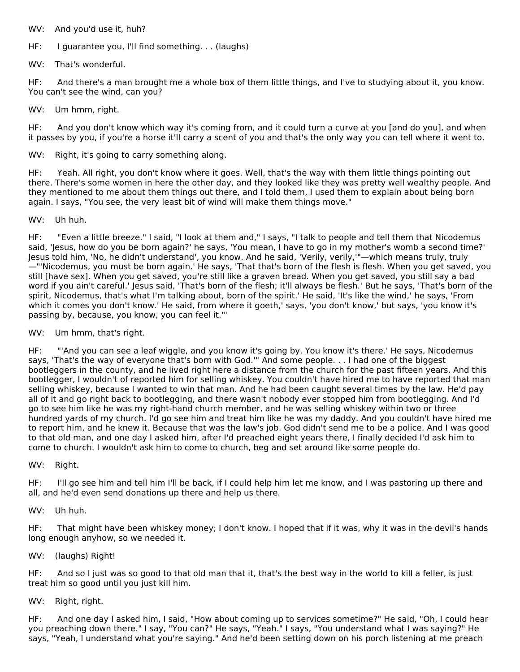- WV: And you'd use it, huh?
- HF: I guarantee you, I'll find something. . . (laughs)
- WV: That's wonderful.

HF: And there's a man brought me a whole box of them little things, and I've to studying about it, you know. You can't see the wind, can you?

WV: Um hmm, right.

HF: And you don't know which way it's coming from, and it could turn a curve at you [and do you], and when it passes by you, if you're a horse it'll carry a scent of you and that's the only way you can tell where it went to.

WV: Right, it's going to carry something along.

HF: Yeah. All right, you don't know where it goes. Well, that's the way with them little things pointing out there. There's some women in here the other day, and they looked like they was pretty well wealthy people. And they mentioned to me about them things out there, and I told them, I used them to explain about being born again. I says, "You see, the very least bit of wind will make them things move."

WV: Uh huh.

HF: "Even a little breeze." I said, "I look at them and," I says, "I talk to people and tell them that Nicodemus said, 'Jesus, how do you be born again?' he says, 'You mean, I have to go in my mother's womb a second time?' Jesus told him, 'No, he didn't understand', you know. And he said, 'Verily, verily,'"—which means truly, truly —"'Nicodemus, you must be born again.' He says, 'That that's born of the flesh is flesh. When you get saved, you still [have sex]. When you get saved, you're still like a graven bread. When you get saved, you still say a bad word if you ain't careful.' Jesus said, 'That's born of the flesh; it'll always be flesh.' But he says, 'That's born of the spirit, Nicodemus, that's what I'm talking about, born of the spirit.' He said, 'It's like the wind,' he says, 'From which it comes you don't know.' He said, from where it goeth,' says, 'you don't know,' but says, 'you know it's passing by, because, you know, you can feel it.'"

WV: Um hmm, that's right.

HF: "'And you can see a leaf wiggle, and you know it's going by. You know it's there.' He says, Nicodemus says, 'That's the way of everyone that's born with God.'" And some people. . . I had one of the biggest bootleggers in the county, and he lived right here a distance from the church for the past fifteen years. And this bootlegger, I wouldn't of reported him for selling whiskey. You couldn't have hired me to have reported that man selling whiskey, because I wanted to win that man. And he had been caught several times by the law. He'd pay all of it and go right back to bootlegging, and there wasn't nobody ever stopped him from bootlegging. And I'd go to see him like he was my right-hand church member, and he was selling whiskey within two or three hundred yards of my church. I'd go see him and treat him like he was my daddy. And you couldn't have hired me to report him, and he knew it. Because that was the law's job. God didn't send me to be a police. And I was good to that old man, and one day I asked him, after I'd preached eight years there, I finally decided I'd ask him to come to church. I wouldn't ask him to come to church, beg and set around like some people do.

WV: Right.

HF: I'll go see him and tell him I'll be back, if I could help him let me know, and I was pastoring up there and all, and he'd even send donations up there and help us there.

WV: Uh huh.

HF: That might have been whiskey money; I don't know. I hoped that if it was, why it was in the devil's hands long enough anyhow, so we needed it.

WV: (laughs) Right!

HF: And so I just was so good to that old man that it, that's the best way in the world to kill a feller, is just treat him so good until you just kill him.

WV: Right, right.

HF: And one day I asked him, I said, "How about coming up to services sometime?" He said, "Oh, I could hear you preaching down there." I say, "You can?" He says, "Yeah." I says, "You understand what I was saying?" He says, "Yeah, I understand what you're saying." And he'd been setting down on his porch listening at me preach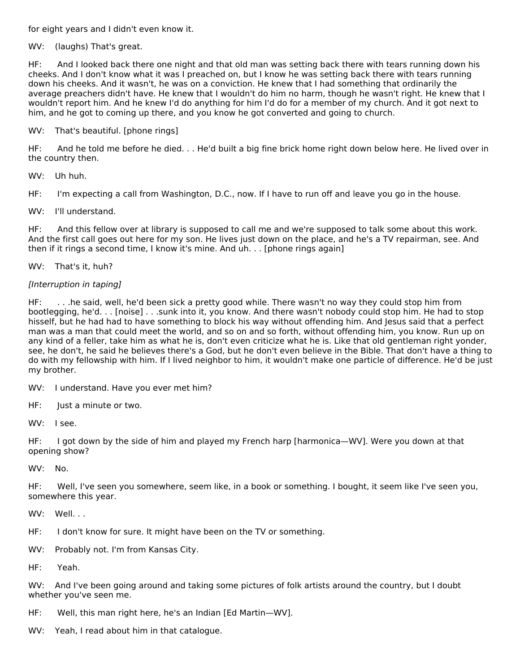for eight years and I didn't even know it.

WV: (laughs) That's great.

HF: And I looked back there one night and that old man was setting back there with tears running down his cheeks. And I don't know what it was I preached on, but I know he was setting back there with tears running down his cheeks. And it wasn't, he was on a conviction. He knew that I had something that ordinarily the average preachers didn't have. He knew that I wouldn't do him no harm, though he wasn't right. He knew that I wouldn't report him. And he knew I'd do anything for him I'd do for a member of my church. And it got next to him, and he got to coming up there, and you know he got converted and going to church.

# WV: That's beautiful. [phone rings]

HF: And he told me before he died. . . He'd built a big fine brick home right down below here. He lived over in the country then.

WV: Uh huh.

HF: I'm expecting a call from Washington, D.C., now. If I have to run off and leave you go in the house.

WV: I'll understand.

HF: And this fellow over at library is supposed to call me and we're supposed to talk some about this work. And the first call goes out here for my son. He lives just down on the place, and he's a TV repairman, see. And then if it rings a second time, I know it's mine. And uh. . . [phone rings again]

WV: That's it, huh?

# [Interruption in taping]

HF: . . .he said, well, he'd been sick a pretty good while. There wasn't no way they could stop him from bootlegging, he'd. . . [noise] . . .sunk into it, you know. And there wasn't nobody could stop him. He had to stop hisself, but he had had to have something to block his way without offending him. And Jesus said that a perfect man was a man that could meet the world, and so on and so forth, without offending him, you know. Run up on any kind of a feller, take him as what he is, don't even criticize what he is. Like that old gentleman right yonder, see, he don't, he said he believes there's a God, but he don't even believe in the Bible. That don't have a thing to do with my fellowship with him. If I lived neighbor to him, it wouldn't make one particle of difference. He'd be just my brother.

WV: I understand. Have you ever met him?

HF: Just a minute or two.

WV: I see.

HF: I got down by the side of him and played my French harp [harmonica—WV]. Were you down at that opening show?

WV: No.

HF: Well, I've seen you somewhere, seem like, in a book or something. I bought, it seem like I've seen you, somewhere this year.

WV: Well...

- HF: I don't know for sure. It might have been on the TV or something.
- WV: Probably not. I'm from Kansas City.

HF: Yeah.

WV: And I've been going around and taking some pictures of folk artists around the country, but I doubt whether you've seen me.

- HF: Well, this man right here, he's an Indian [Ed Martin—WV].
- WV: Yeah, I read about him in that catalogue.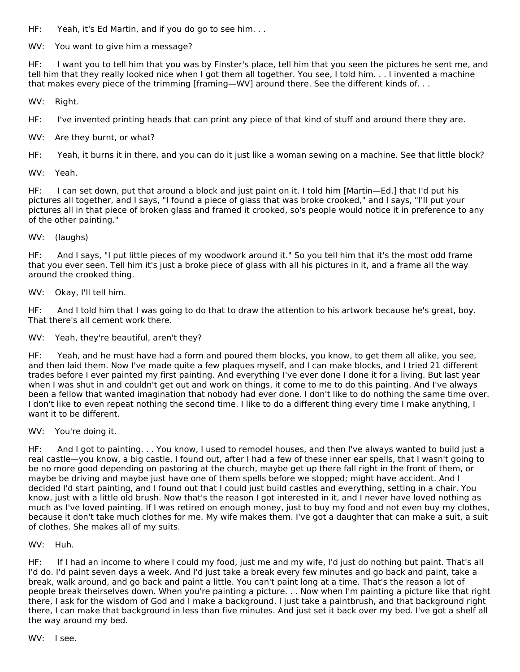HF: Yeah, it's Ed Martin, and if you do go to see him. . .

WV: You want to give him a message?

HF: I want you to tell him that you was by Finster's place, tell him that you seen the pictures he sent me, and tell him that they really looked nice when I got them all together. You see, I told him. . . I invented a machine that makes every piece of the trimming [framing—WV] around there. See the different kinds of. . .

WV: Right.

HF: I've invented printing heads that can print any piece of that kind of stuff and around there they are.

WV: Are they burnt, or what?

HF: Yeah, it burns it in there, and you can do it just like a woman sewing on a machine. See that little block?

WV: Yeah.

HF: I can set down, put that around a block and just paint on it. I told him [Martin—Ed.] that I'd put his pictures all together, and I says, "I found a piece of glass that was broke crooked," and I says, "I'll put your pictures all in that piece of broken glass and framed it crooked, so's people would notice it in preference to any of the other painting."

WV: (laughs)

HF: And I says, "I put little pieces of my woodwork around it." So you tell him that it's the most odd frame that you ever seen. Tell him it's just a broke piece of glass with all his pictures in it, and a frame all the way around the crooked thing.

WV: Okay, I'll tell him.

HF: And I told him that I was going to do that to draw the attention to his artwork because he's great, boy. That there's all cement work there.

WV: Yeah, they're beautiful, aren't they?

HF: Yeah, and he must have had a form and poured them blocks, you know, to get them all alike, you see, and then laid them. Now I've made quite a few plaques myself, and I can make blocks, and I tried 21 different trades before I ever painted my first painting. And everything I've ever done I done it for a living. But last year when I was shut in and couldn't get out and work on things, it come to me to do this painting. And I've always been a fellow that wanted imagination that nobody had ever done. I don't like to do nothing the same time over. I don't like to even repeat nothing the second time. I like to do a different thing every time I make anything, I want it to be different.

WV: You're doing it.

HF: And I got to painting. . . You know, I used to remodel houses, and then I've always wanted to build just a real castle—you know, a big castle. I found out, after I had a few of these inner ear spells, that I wasn't going to be no more good depending on pastoring at the church, maybe get up there fall right in the front of them, or maybe be driving and maybe just have one of them spells before we stopped; might have accident. And I decided I'd start painting, and I found out that I could just build castles and everything, setting in a chair. You know, just with a little old brush. Now that's the reason I got interested in it, and I never have loved nothing as much as I've loved painting. If I was retired on enough money, just to buy my food and not even buy my clothes, because it don't take much clothes for me. My wife makes them. I've got a daughter that can make a suit, a suit of clothes. She makes all of my suits.

WV: Huh.

HF: If I had an income to where I could my food, just me and my wife, I'd just do nothing but paint. That's all I'd do. I'd paint seven days a week. And I'd just take a break every few minutes and go back and paint, take a break, walk around, and go back and paint a little. You can't paint long at a time. That's the reason a lot of people break theirselves down. When you're painting a picture. . . Now when I'm painting a picture like that right there, I ask for the wisdom of God and I make a background. I just take a paintbrush, and that background right there, I can make that background in less than five minutes. And just set it back over my bed. I've got a shelf all the way around my bed.

WV: I see.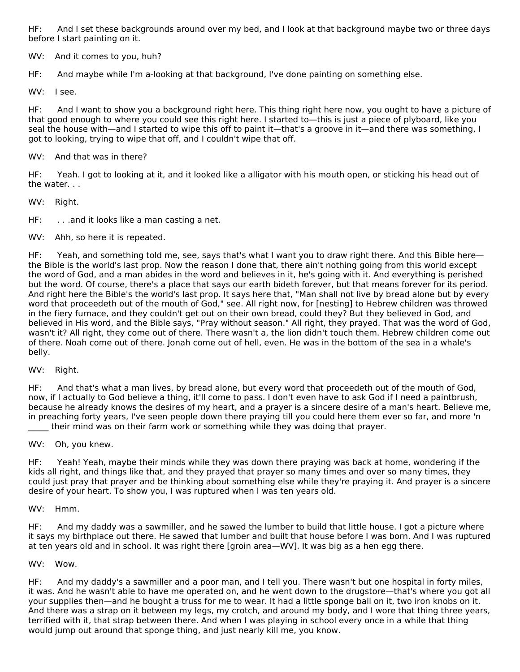HF: And I set these backgrounds around over my bed, and I look at that background maybe two or three days before I start painting on it.

WV: And it comes to you, huh?

HF: And maybe while I'm a-looking at that background, I've done painting on something else.

WV: I see.

HF: And I want to show you a background right here. This thing right here now, you ought to have a picture of that good enough to where you could see this right here. I started to—this is just a piece of plyboard, like you seal the house with—and I started to wipe this off to paint it—that's a groove in it—and there was something, I got to looking, trying to wipe that off, and I couldn't wipe that off.

WV: And that was in there?

HF: Yeah. I got to looking at it, and it looked like a alligator with his mouth open, or sticking his head out of the water. . .

WV: Right.

HF: . . . . and it looks like a man casting a net.

WV: Ahh, so here it is repeated.

HF: Yeah, and something told me, see, says that's what I want you to draw right there. And this Bible here the Bible is the world's last prop. Now the reason I done that, there ain't nothing going from this world except the word of God, and a man abides in the word and believes in it, he's going with it. And everything is perished but the word. Of course, there's a place that says our earth bideth forever, but that means forever for its period. And right here the Bible's the world's last prop. It says here that, "Man shall not live by bread alone but by every word that proceedeth out of the mouth of God," see. All right now, for [nesting] to Hebrew children was throwed in the fiery furnace, and they couldn't get out on their own bread, could they? But they believed in God, and believed in His word, and the Bible says, "Pray without season." All right, they prayed. That was the word of God, wasn't it? All right, they come out of there. There wasn't a, the lion didn't touch them. Hebrew children come out of there. Noah come out of there. Jonah come out of hell, even. He was in the bottom of the sea in a whale's belly.

WV: Right.

HF: And that's what a man lives, by bread alone, but every word that proceedeth out of the mouth of God, now, if I actually to God believe a thing, it'll come to pass. I don't even have to ask God if I need a paintbrush, because he already knows the desires of my heart, and a prayer is a sincere desire of a man's heart. Believe me, in preaching forty years, I've seen people down there praying till you could here them ever so far, and more 'n their mind was on their farm work or something while they was doing that prayer.

WV: Oh, you knew.

HF: Yeah! Yeah, maybe their minds while they was down there praying was back at home, wondering if the kids all right, and things like that, and they prayed that prayer so many times and over so many times, they could just pray that prayer and be thinking about something else while they're praying it. And prayer is a sincere desire of your heart. To show you, I was ruptured when I was ten years old.

WV: Hmm.

HF: And my daddy was a sawmiller, and he sawed the lumber to build that little house. I got a picture where it says my birthplace out there. He sawed that lumber and built that house before I was born. And I was ruptured at ten years old and in school. It was right there [groin area—WV]. It was big as a hen egg there.

#### WV: Wow.

HF: And my daddy's a sawmiller and a poor man, and I tell you. There wasn't but one hospital in forty miles, it was. And he wasn't able to have me operated on, and he went down to the drugstore—that's where you got all your supplies then—and he bought a truss for me to wear. It had a little sponge ball on it, two iron knobs on it. And there was a strap on it between my legs, my crotch, and around my body, and I wore that thing three years, terrified with it, that strap between there. And when I was playing in school every once in a while that thing would jump out around that sponge thing, and just nearly kill me, you know.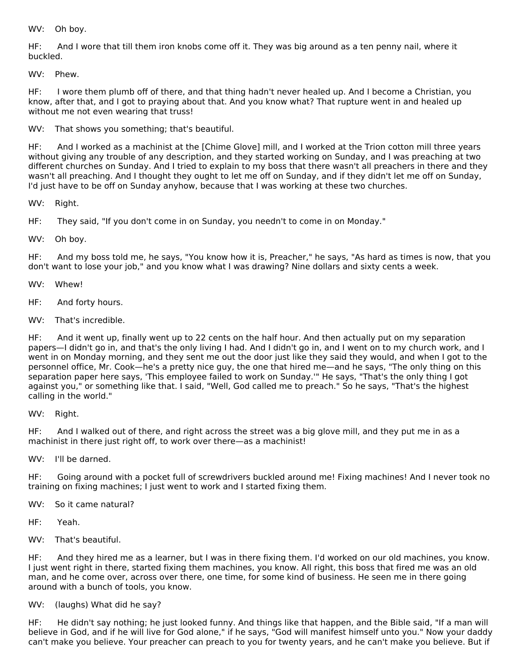WV: Oh boy.

HF: And I wore that till them iron knobs come off it. They was big around as a ten penny nail, where it buckled.

WV: Phew.

HF: I wore them plumb off of there, and that thing hadn't never healed up. And I become a Christian, you know, after that, and I got to praying about that. And you know what? That rupture went in and healed up without me not even wearing that truss!

WV: That shows you something; that's beautiful.

HF: And I worked as a machinist at the [Chime Glove] mill, and I worked at the Trion cotton mill three years without giving any trouble of any description, and they started working on Sunday, and I was preaching at two different churches on Sunday. And I tried to explain to my boss that there wasn't all preachers in there and they wasn't all preaching. And I thought they ought to let me off on Sunday, and if they didn't let me off on Sunday, I'd just have to be off on Sunday anyhow, because that I was working at these two churches.

WV: Right.

HF: They said, "If you don't come in on Sunday, you needn't to come in on Monday."

WV: Oh boy.

HF: And my boss told me, he says, "You know how it is, Preacher," he says, "As hard as times is now, that you don't want to lose your job," and you know what I was drawing? Nine dollars and sixty cents a week.

WV: Whew!

HF: And forty hours.

WV: That's incredible.

HF: And it went up, finally went up to 22 cents on the half hour. And then actually put on my separation papers—I didn't go in, and that's the only living I had. And I didn't go in, and I went on to my church work, and I went in on Monday morning, and they sent me out the door just like they said they would, and when I got to the personnel office, Mr. Cook—he's a pretty nice guy, the one that hired me—and he says, "The only thing on this separation paper here says, 'This employee failed to work on Sunday.'" He says, "That's the only thing I got against you," or something like that. I said, "Well, God called me to preach." So he says, "That's the highest calling in the world."

WV: Right.

HF: And I walked out of there, and right across the street was a big glove mill, and they put me in as a machinist in there just right off, to work over there—as a machinist!

WV: I'll be darned.

HF: Going around with a pocket full of screwdrivers buckled around me! Fixing machines! And I never took no training on fixing machines; I just went to work and I started fixing them.

WV: So it came natural?

HF: Yeah.

WV: That's beautiful.

HF: And they hired me as a learner, but I was in there fixing them. I'd worked on our old machines, you know. I just went right in there, started fixing them machines, you know. All right, this boss that fired me was an old man, and he come over, across over there, one time, for some kind of business. He seen me in there going around with a bunch of tools, you know.

WV: (laughs) What did he say?

HF: He didn't say nothing; he just looked funny. And things like that happen, and the Bible said, "If a man will believe in God, and if he will live for God alone," if he says, "God will manifest himself unto you." Now your daddy can't make you believe. Your preacher can preach to you for twenty years, and he can't make you believe. But if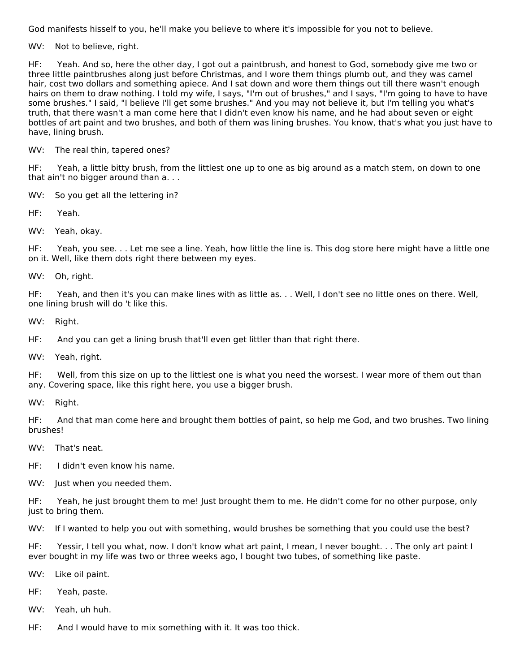God manifests hisself to you, he'll make you believe to where it's impossible for you not to believe.

WV: Not to believe, right.

HF: Yeah. And so, here the other day, I got out a paintbrush, and honest to God, somebody give me two or three little paintbrushes along just before Christmas, and I wore them things plumb out, and they was camel hair, cost two dollars and something apiece. And I sat down and wore them things out till there wasn't enough hairs on them to draw nothing. I told my wife, I says, "I'm out of brushes," and I says, "I'm going to have to have some brushes." I said, "I believe I'll get some brushes." And you may not believe it, but I'm telling you what's truth, that there wasn't a man come here that I didn't even know his name, and he had about seven or eight bottles of art paint and two brushes, and both of them was lining brushes. You know, that's what you just have to have, lining brush.

WV: The real thin, tapered ones?

HF: Yeah, a little bitty brush, from the littlest one up to one as big around as a match stem, on down to one that ain't no bigger around than a. . .

WV: So you get all the lettering in?

HF: Yeah.

WV: Yeah, okay.

HF: Yeah, you see. . . Let me see a line. Yeah, how little the line is. This dog store here might have a little one on it. Well, like them dots right there between my eyes.

WV: Oh, right.

HF: Yeah, and then it's you can make lines with as little as. . . Well, I don't see no little ones on there. Well, one lining brush will do 't like this.

WV: Right.

HF: And you can get a lining brush that'll even get littler than that right there.

WV: Yeah, right.

HF: Well, from this size on up to the littlest one is what you need the worsest. I wear more of them out than any. Covering space, like this right here, you use a bigger brush.

WV: Right.

HF: And that man come here and brought them bottles of paint, so help me God, and two brushes. Two lining brushes!

- WV: That's neat.
- HF: I didn't even know his name.
- WV: Just when you needed them.

HF: Yeah, he just brought them to me! Just brought them to me. He didn't come for no other purpose, only just to bring them.

WV: If I wanted to help you out with something, would brushes be something that you could use the best?

HF: Yessir, I tell you what, now. I don't know what art paint, I mean, I never bought. . . The only art paint I ever bought in my life was two or three weeks ago, I bought two tubes, of something like paste.

- WV: Like oil paint.
- HF: Yeah, paste.
- WV: Yeah, uh huh.
- HF: And I would have to mix something with it. It was too thick.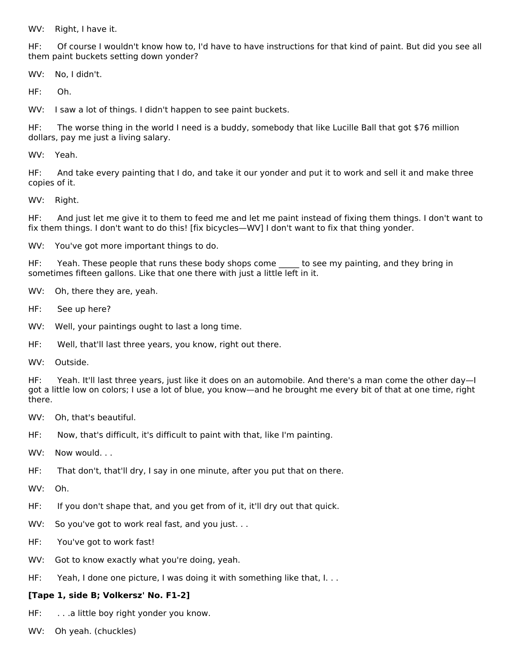WV: Right, I have it.

HF: Of course I wouldn't know how to, I'd have to have instructions for that kind of paint. But did you see all them paint buckets setting down yonder?

WV: No, I didn't.

HF: Oh.

WV: I saw a lot of things. I didn't happen to see paint buckets.

HF: The worse thing in the world I need is a buddy, somebody that like Lucille Ball that got \$76 million dollars, pay me just a living salary.

WV: Yeah.

HF: And take every painting that I do, and take it our yonder and put it to work and sell it and make three copies of it.

WV: Right.

HF: And just let me give it to them to feed me and let me paint instead of fixing them things. I don't want to fix them things. I don't want to do this! [fix bicycles—WV] I don't want to fix that thing yonder.

WV: You've got more important things to do.

HF: Yeah. These people that runs these body shops come to see my painting, and they bring in sometimes fifteen gallons. Like that one there with just a little left in it.

WV: Oh, there they are, yeah.

- HF: See up here?
- WV: Well, your paintings ought to last a long time.
- HF: Well, that'll last three years, you know, right out there.
- WV: Outside.

HF: Yeah. It'll last three years, just like it does on an automobile. And there's a man come the other day—I got a little low on colors; I use a lot of blue, you know—and he brought me every bit of that at one time, right there.

- WV: Oh, that's beautiful.
- HF: Now, that's difficult, it's difficult to paint with that, like I'm painting.
- WV: Now would...
- HF: That don't, that'll dry, I say in one minute, after you put that on there.
- WV: Oh.
- HF: If you don't shape that, and you get from of it, it'll dry out that quick.
- WV: So you've got to work real fast, and you just. ..
- HF: You've got to work fast!
- WV: Got to know exactly what you're doing, yeah.
- HF: Yeah, I done one picture, I was doing it with something like that, I. . .

#### **[Tape 1, side B; Volkersz' No. F1-2]**

- HF: . . . . a little boy right yonder you know.
- WV: Oh yeah. (chuckles)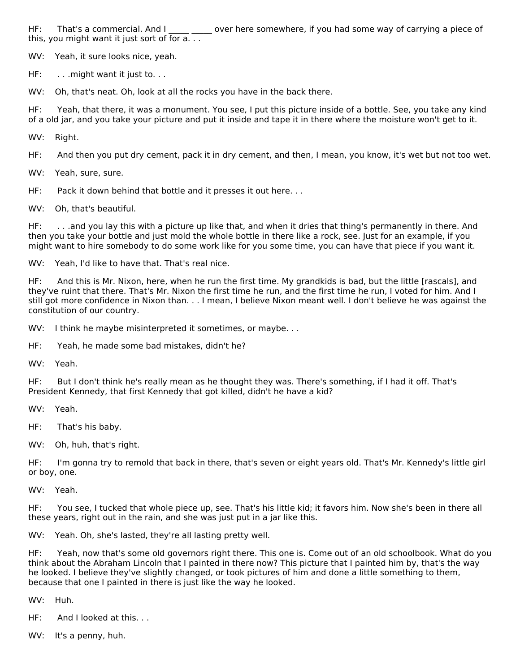HF: That's a commercial. And I cover here somewhere, if you had some way of carrying a piece of this, you might want it just sort of for a. . .

WV: Yeah, it sure looks nice, yeah.

HF: . . . . might want it just to. . .

WV: Oh, that's neat. Oh, look at all the rocks you have in the back there.

HF: Yeah, that there, it was a monument. You see, I put this picture inside of a bottle. See, you take any kind of a old jar, and you take your picture and put it inside and tape it in there where the moisture won't get to it.

WV: Right.

HF: And then you put dry cement, pack it in dry cement, and then, I mean, you know, it's wet but not too wet.

WV: Yeah, sure, sure.

HF: Pack it down behind that bottle and it presses it out here...

WV: Oh, that's beautiful.

HF: . . .and you lay this with a picture up like that, and when it dries that thing's permanently in there. And then you take your bottle and just mold the whole bottle in there like a rock, see. Just for an example, if you might want to hire somebody to do some work like for you some time, you can have that piece if you want it.

WV: Yeah, I'd like to have that. That's real nice.

HF: And this is Mr. Nixon, here, when he run the first time. My grandkids is bad, but the little [rascals], and they've ruint that there. That's Mr. Nixon the first time he run, and the first time he run, I voted for him. And I still got more confidence in Nixon than. . . I mean, I believe Nixon meant well. I don't believe he was against the constitution of our country.

WV: I think he maybe misinterpreted it sometimes, or maybe. . .

HF: Yeah, he made some bad mistakes, didn't he?

WV: Yeah.

HF: But I don't think he's really mean as he thought they was. There's something, if I had it off. That's President Kennedy, that first Kennedy that got killed, didn't he have a kid?

WV: Yeah.

HF: That's his baby.

WV: Oh, huh, that's right.

HF: I'm gonna try to remold that back in there, that's seven or eight years old. That's Mr. Kennedy's little girl or boy, one.

WV: Yeah.

HF: You see, I tucked that whole piece up, see. That's his little kid; it favors him. Now she's been in there all these years, right out in the rain, and she was just put in a jar like this.

WV: Yeah. Oh, she's lasted, they're all lasting pretty well.

HF: Yeah, now that's some old governors right there. This one is. Come out of an old schoolbook. What do you think about the Abraham Lincoln that I painted in there now? This picture that I painted him by, that's the way he looked. I believe they've slightly changed, or took pictures of him and done a little something to them, because that one I painted in there is just like the way he looked.

WV: Huh.

HF: And I looked at this. . .

WV: It's a penny, huh.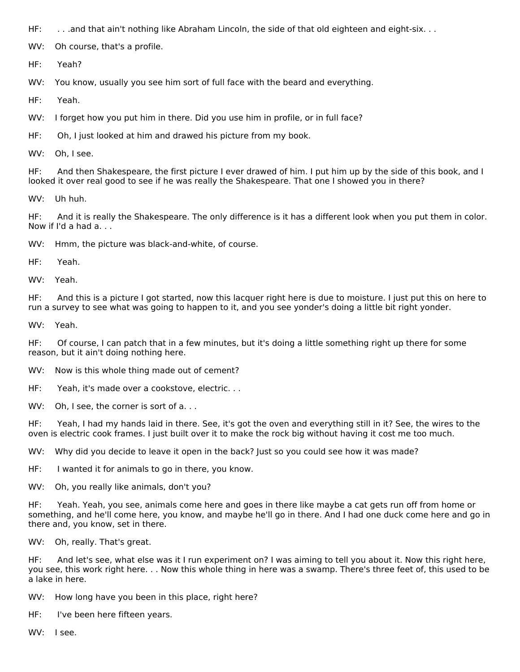HF: . . .and that ain't nothing like Abraham Lincoln, the side of that old eighteen and eight-six. . .

WV: Oh course, that's a profile.

HF: Yeah?

WV: You know, usually you see him sort of full face with the beard and everything.

HF: Yeah.

WV: I forget how you put him in there. Did you use him in profile, or in full face?

HF: Oh, I just looked at him and drawed his picture from my book.

WV: Oh, I see.

HF: And then Shakespeare, the first picture I ever drawed of him. I put him up by the side of this book, and I looked it over real good to see if he was really the Shakespeare. That one I showed you in there?

WV: Uh huh.

HF: And it is really the Shakespeare. The only difference is it has a different look when you put them in color. Now if I'd a had a. . .

WV: Hmm, the picture was black-and-white, of course.

HF: Yeah.

WV: Yeah.

HF: And this is a picture I got started, now this lacquer right here is due to moisture. I just put this on here to run a survey to see what was going to happen to it, and you see yonder's doing a little bit right yonder.

WV: Yeah.

HF: Of course, I can patch that in a few minutes, but it's doing a little something right up there for some reason, but it ain't doing nothing here.

WV: Now is this whole thing made out of cement?

HF: Yeah, it's made over a cookstove, electric. . .

WV: Oh, I see, the corner is sort of a...

HF: Yeah, I had my hands laid in there. See, it's got the oven and everything still in it? See, the wires to the oven is electric cook frames. I just built over it to make the rock big without having it cost me too much.

WV: Why did you decide to leave it open in the back? Just so you could see how it was made?

HF: I wanted it for animals to go in there, you know.

WV: Oh, you really like animals, don't you?

HF: Yeah. Yeah, you see, animals come here and goes in there like maybe a cat gets run off from home or something, and he'll come here, you know, and maybe he'll go in there. And I had one duck come here and go in there and, you know, set in there.

WV: Oh, really. That's great.

HF: And let's see, what else was it I run experiment on? I was aiming to tell you about it. Now this right here, you see, this work right here. . . Now this whole thing in here was a swamp. There's three feet of, this used to be a lake in here.

WV: How long have you been in this place, right here?

HF: I've been here fifteen years.

WV: I see.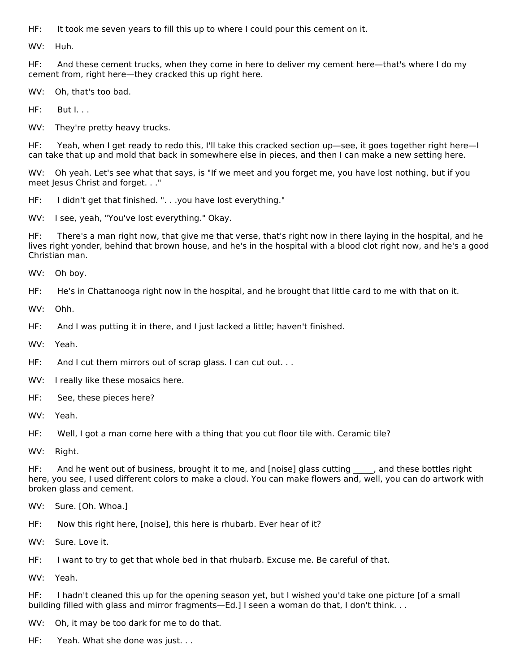HF: It took me seven years to fill this up to where I could pour this cement on it.

WV: Huh.

HF: And these cement trucks, when they come in here to deliver my cement here—that's where I do my cement from, right here—they cracked this up right here.

WV: Oh, that's too bad.

HF: But I. . .

WV: They're pretty heavy trucks.

HF: Yeah, when I get ready to redo this, I'll take this cracked section up—see, it goes together right here—I can take that up and mold that back in somewhere else in pieces, and then I can make a new setting here.

WV: Oh yeah. Let's see what that says, is "If we meet and you forget me, you have lost nothing, but if you meet Jesus Christ and forget. . ."

HF: I didn't get that finished. ". . .you have lost everything."

WV: I see, yeah, "You've lost everything." Okay.

HF: There's a man right now, that give me that verse, that's right now in there laying in the hospital, and he lives right yonder, behind that brown house, and he's in the hospital with a blood clot right now, and he's a good Christian man.

WV: Oh boy.

HF: He's in Chattanooga right now in the hospital, and he brought that little card to me with that on it.

WV: Ohh.

HF: And I was putting it in there, and I just lacked a little; haven't finished.

WV: Yeah.

HF: And I cut them mirrors out of scrap glass. I can cut out...

- WV: I really like these mosaics here.
- HF: See, these pieces here?

WV: Yeah.

HF: Well, I got a man come here with a thing that you cut floor tile with. Ceramic tile?

WV: Right.

HF: And he went out of business, brought it to me, and [noise] glass cutting , and these bottles right here, you see, I used different colors to make a cloud. You can make flowers and, well, you can do artwork with broken glass and cement.

WV: Sure. [Oh. Whoa.]

HF: Now this right here, [noise], this here is rhubarb. Ever hear of it?

WV: Sure. Love it.

HF: I want to try to get that whole bed in that rhubarb. Excuse me. Be careful of that.

WV: Yeah.

HF: I hadn't cleaned this up for the opening season yet, but I wished you'd take one picture [of a small building filled with glass and mirror fragments—Ed.] I seen a woman do that, I don't think. . .

WV: Oh, it may be too dark for me to do that.

HF: Yeah. What she done was just. . .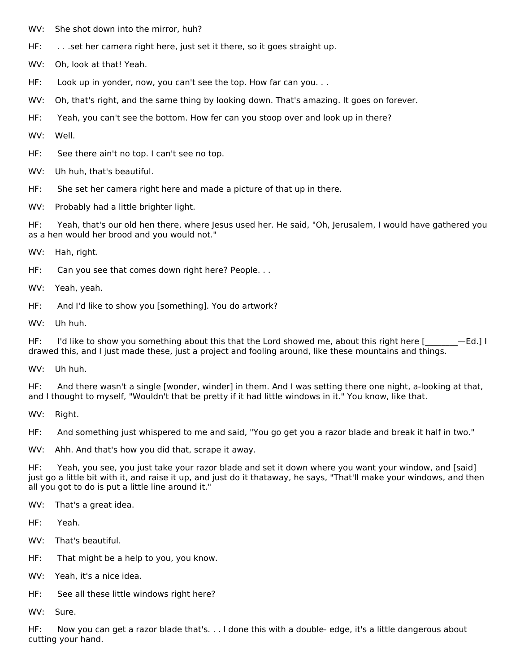- WV: She shot down into the mirror, huh?
- HF: ... set her camera right here, just set it there, so it goes straight up.
- WV: Oh, look at that! Yeah.
- HF: Look up in yonder, now, you can't see the top. How far can you. . .
- WV: Oh, that's right, and the same thing by looking down. That's amazing. It goes on forever.
- HF: Yeah, you can't see the bottom. How fer can you stoop over and look up in there?
- WV: Well.
- HF: See there ain't no top. I can't see no top.
- WV: Uh huh, that's beautiful.
- HF: She set her camera right here and made a picture of that up in there.
- WV: Probably had a little brighter light.

HF: Yeah, that's our old hen there, where Jesus used her. He said, "Oh, Jerusalem, I would have gathered you as a hen would her brood and you would not."

- WV: Hah, right.
- HF: Can you see that comes down right here? People. . .
- WV: Yeah, yeah.
- HF: And I'd like to show you [something]. You do artwork?
- WV: Uh huh.

HF: I'd like to show you something about this that the Lord showed me, about this right here  $[$  -Ed.] I drawed this, and I just made these, just a project and fooling around, like these mountains and things.

WV: Uh huh.

HF: And there wasn't a single [wonder, winder] in them. And I was setting there one night, a-looking at that, and I thought to myself, "Wouldn't that be pretty if it had little windows in it." You know, like that.

WV: Right.

HF: And something just whispered to me and said, "You go get you a razor blade and break it half in two."

WV: Ahh. And that's how you did that, scrape it away.

HF: Yeah, you see, you just take your razor blade and set it down where you want your window, and [said] just go a little bit with it, and raise it up, and just do it thataway, he says, "That'll make your windows, and then all you got to do is put a little line around it."

- WV: That's a great idea.
- HF: Yeah.
- WV: That's beautiful.
- HF: That might be a help to you, you know.
- WV: Yeah, it's a nice idea.
- HF: See all these little windows right here?
- WV: Sure.

HF: Now you can get a razor blade that's. . . I done this with a double- edge, it's a little dangerous about cutting your hand.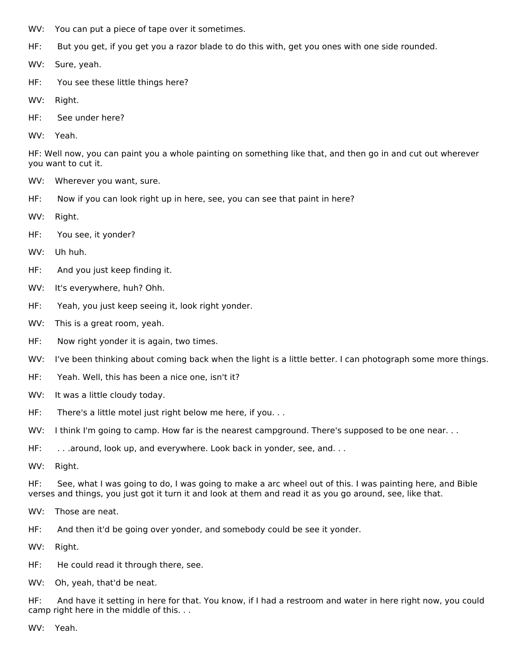- WV: You can put a piece of tape over it sometimes.
- HF: But you get, if you get you a razor blade to do this with, get you ones with one side rounded.
- WV: Sure, yeah.
- HF: You see these little things here?
- WV: Right.
- HF: See under here?
- WV: Yeah.

HF: Well now, you can paint you a whole painting on something like that, and then go in and cut out wherever you want to cut it.

- WV: Wherever you want, sure.
- HF: Now if you can look right up in here, see, you can see that paint in here?
- WV: Right.
- HF: You see, it yonder?
- WV: Uh huh.
- HF: And you just keep finding it.
- WV: It's everywhere, huh? Ohh.
- HF: Yeah, you just keep seeing it, look right yonder.
- WV: This is a great room, yeah.
- HF: Now right yonder it is again, two times.
- WV: I've been thinking about coming back when the light is a little better. I can photograph some more things.
- HF: Yeah. Well, this has been a nice one, isn't it?
- WV: It was a little cloudy today.
- HF: There's a little motel just right below me here, if you...
- WV: I think I'm going to camp. How far is the nearest campground. There's supposed to be one near. . .
- HF: ... around, look up, and everywhere. Look back in yonder, see, and...
- WV: Right.

HF: See, what I was going to do, I was going to make a arc wheel out of this. I was painting here, and Bible verses and things, you just got it turn it and look at them and read it as you go around, see, like that.

- WV: Those are neat.
- HF: And then it'd be going over yonder, and somebody could be see it yonder.
- WV: Right.
- HF: He could read it through there, see.
- WV: Oh, yeah, that'd be neat.

HF: And have it setting in here for that. You know, if I had a restroom and water in here right now, you could camp right here in the middle of this. . .

WV: Yeah.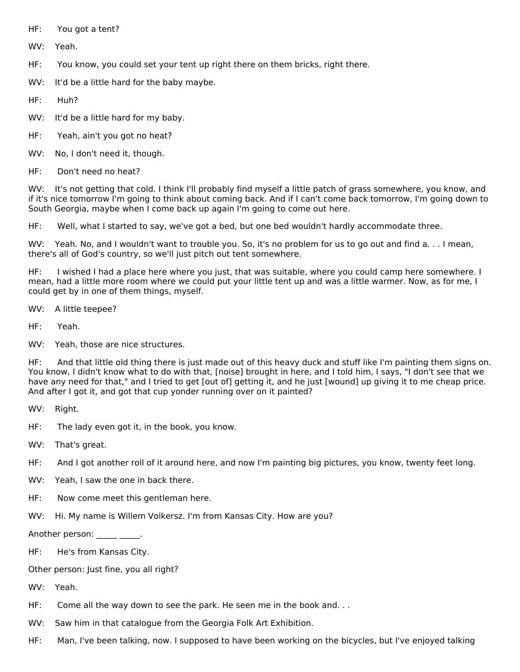HF: You got a tent?

WV: Yeah.

HF: You know, you could set your tent up right there on them bricks, right there.

WV: It'd be a little hard for the baby maybe.

HF: Huh?

WV: It'd be a little hard for my baby.

- HF: Yeah, ain't you got no heat?
- WV: No, I don't need it, though.
- HF: Don't need no heat?

WV: It's not getting that cold. I think I'll probably find myself a little patch of grass somewhere, you know, and if it's nice tomorrow I'm going to think about coming back. And if I can't come back tomorrow, I'm going down to South Georgia, maybe when I come back up again I'm going to come out here.

HF: Well, what I started to say, we've got a bed, but one bed wouldn't hardly accommodate three.

WV: Yeah. No, and I wouldn't want to trouble you. So, it's no problem for us to go out and find a. . . I mean, there's all of God's country, so we'll just pitch out tent somewhere.

HF: I wished I had a place here where you just, that was suitable, where you could camp here somewhere. I mean, had a little more room where we could put your little tent up and was a little warmer. Now, as for me, I could get by in one of them things, myself.

- WV: A little teepee?
- HF: Yeah.
- WV: Yeah, those are nice structures.

HF: And that little old thing there is just made out of this heavy duck and stuff like I'm painting them signs on. You know, I didn't know what to do with that, [noise] brought in here, and I told him, I says, "I don't see that we have any need for that," and I tried to get [out of] getting it, and he just [wound] up giving it to me cheap price. And after I got it, and got that cup yonder running over on it painted?

WV: Right.

- HF: The lady even got it, in the book, you know.
- WV: That's great.
- HF: And I got another roll of it around here, and now I'm painting big pictures, you know, twenty feet long.
- WV: Yeah, I saw the one in back there.
- HF: Now come meet this gentleman here.
- WV: Hi. My name is Willem Volkersz. I'm from Kansas City. How are you?

Another person: \_\_\_\_\_ \_\_\_\_\_.

- HF: He's from Kansas City.
- Other person: Just fine, you all right?
- WV: Yeah.
- HF: Come all the way down to see the park. He seen me in the book and. . .
- WV: Saw him in that catalogue from the Georgia Folk Art Exhibition.
- HF: Man, I've been talking, now. I supposed to have been working on the bicycles, but I've enjoyed talking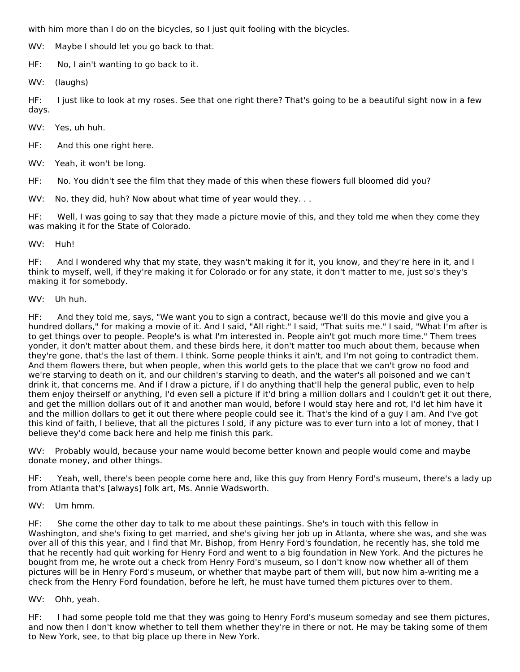with him more than I do on the bicycles, so I just quit fooling with the bicycles.

WV: Maybe I should let you go back to that.

HF: No, I ain't wanting to go back to it.

WV: (laughs)

HF: I just like to look at my roses. See that one right there? That's going to be a beautiful sight now in a few days.

WV: Yes, uh huh.

HF: And this one right here.

WV: Yeah, it won't be long.

HF: No. You didn't see the film that they made of this when these flowers full bloomed did you?

WV: No, they did, huh? Now about what time of year would they...

HF: Well, I was going to say that they made a picture movie of this, and they told me when they come they was making it for the State of Colorado.

#### WV: Huh!

HF: And I wondered why that my state, they wasn't making it for it, you know, and they're here in it, and I think to myself, well, if they're making it for Colorado or for any state, it don't matter to me, just so's they's making it for somebody.

#### WV: Uh huh.

HF: And they told me, says, "We want you to sign a contract, because we'll do this movie and give you a hundred dollars," for making a movie of it. And I said, "All right." I said, "That suits me." I said, "What I'm after is to get things over to people. People's is what I'm interested in. People ain't got much more time." Them trees yonder, it don't matter about them, and these birds here, it don't matter too much about them, because when they're gone, that's the last of them. I think. Some people thinks it ain't, and I'm not going to contradict them. And them flowers there, but when people, when this world gets to the place that we can't grow no food and we're starving to death on it, and our children's starving to death, and the water's all poisoned and we can't drink it, that concerns me. And if I draw a picture, if I do anything that'll help the general public, even to help them enjoy theirself or anything, I'd even sell a picture if it'd bring a million dollars and I couldn't get it out there, and get the million dollars out of it and another man would, before I would stay here and rot, I'd let him have it and the million dollars to get it out there where people could see it. That's the kind of a guy I am. And I've got this kind of faith, I believe, that all the pictures I sold, if any picture was to ever turn into a lot of money, that I believe they'd come back here and help me finish this park.

WV: Probably would, because your name would become better known and people would come and maybe donate money, and other things.

HF: Yeah, well, there's been people come here and, like this guy from Henry Ford's museum, there's a lady up from Atlanta that's [always] folk art, Ms. Annie Wadsworth.

# WV: Um hmm.

HF: She come the other day to talk to me about these paintings. She's in touch with this fellow in Washington, and she's fixing to get married, and she's giving her job up in Atlanta, where she was, and she was over all of this this year, and I find that Mr. Bishop, from Henry Ford's foundation, he recently has, she told me that he recently had quit working for Henry Ford and went to a big foundation in New York. And the pictures he bought from me, he wrote out a check from Henry Ford's museum, so I don't know now whether all of them pictures will be in Henry Ford's museum, or whether that maybe part of them will, but now him a-writing me a check from the Henry Ford foundation, before he left, he must have turned them pictures over to them.

# WV: Ohh, yeah.

HF: I had some people told me that they was going to Henry Ford's museum someday and see them pictures, and now then I don't know whether to tell them whether they're in there or not. He may be taking some of them to New York, see, to that big place up there in New York.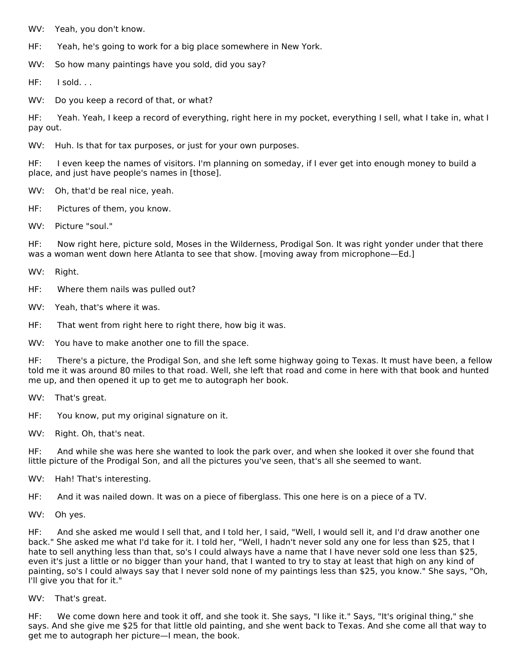WV: Yeah, you don't know.

HF: Yeah, he's going to work for a big place somewhere in New York.

WV: So how many paintings have you sold, did you say?

HF: I sold. . .

WV: Do you keep a record of that, or what?

HF: Yeah. Yeah, I keep a record of everything, right here in my pocket, everything I sell, what I take in, what I pay out.

WV: Huh. Is that for tax purposes, or just for your own purposes.

HF: I even keep the names of visitors. I'm planning on someday, if I ever get into enough money to build a place, and just have people's names in [those].

WV: Oh, that'd be real nice, yeah.

HF: Pictures of them, you know.

WV: Picture "soul."

HF: Now right here, picture sold, Moses in the Wilderness, Prodigal Son. It was right yonder under that there was a woman went down here Atlanta to see that show. [moving away from microphone—Ed.]

WV: Right.

HF: Where them nails was pulled out?

WV: Yeah, that's where it was.

HF: That went from right here to right there, how big it was.

WV: You have to make another one to fill the space.

HF: There's a picture, the Prodigal Son, and she left some highway going to Texas. It must have been, a fellow told me it was around 80 miles to that road. Well, she left that road and come in here with that book and hunted me up, and then opened it up to get me to autograph her book.

WV: That's great.

HF: You know, put my original signature on it.

WV: Right. Oh, that's neat.

HF: And while she was here she wanted to look the park over, and when she looked it over she found that little picture of the Prodigal Son, and all the pictures you've seen, that's all she seemed to want.

WV: Hah! That's interesting.

HF: And it was nailed down. It was on a piece of fiberglass. This one here is on a piece of a TV.

WV: Oh yes.

HF: And she asked me would I sell that, and I told her, I said, "Well, I would sell it, and I'd draw another one back." She asked me what I'd take for it. I told her, "Well, I hadn't never sold any one for less than \$25, that I hate to sell anything less than that, so's I could always have a name that I have never sold one less than \$25, even it's just a little or no bigger than your hand, that I wanted to try to stay at least that high on any kind of painting, so's I could always say that I never sold none of my paintings less than \$25, you know." She says, "Oh, I'll give you that for it."

#### WV: That's great.

HF: We come down here and took it off, and she took it. She says, "I like it." Says, "It's original thing," she says. And she give me \$25 for that little old painting, and she went back to Texas. And she come all that way to get me to autograph her picture—I mean, the book.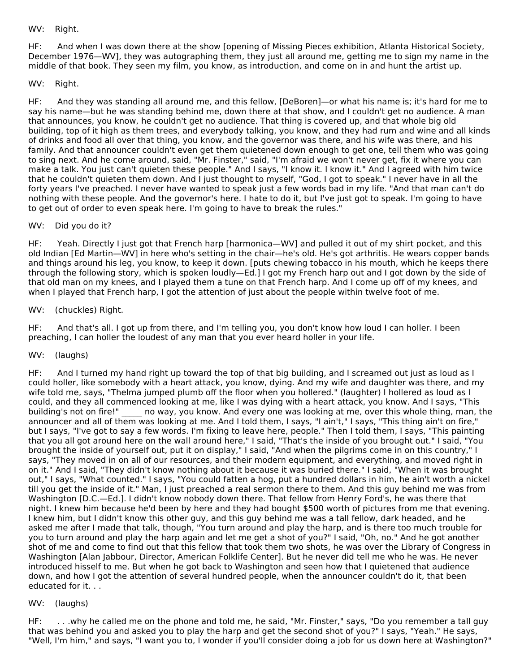# WV: Right.

HF: And when I was down there at the show [opening of Missing Pieces exhibition, Atlanta Historical Society, December 1976—WV], they was autographing them, they just all around me, getting me to sign my name in the middle of that book. They seen my film, you know, as introduction, and come on in and hunt the artist up.

#### WV: Right.

HF: And they was standing all around me, and this fellow, [DeBoren]—or what his name is; it's hard for me to say his name—but he was standing behind me, down there at that show, and I couldn't get no audience. A man that announces, you know, he couldn't get no audience. That thing is covered up, and that whole big old building, top of it high as them trees, and everybody talking, you know, and they had rum and wine and all kinds of drinks and food all over that thing, you know, and the governor was there, and his wife was there, and his family. And that announcer couldn't even get them quietened down enough to get one, tell them who was going to sing next. And he come around, said, "Mr. Finster," said, "I'm afraid we won't never get, fix it where you can make a talk. You just can't quieten these people." And I says, "I know it. I know it." And I agreed with him twice that he couldn't quieten them down. And I just thought to myself, "God, I got to speak." I never have in all the forty years I've preached. I never have wanted to speak just a few words bad in my life. "And that man can't do nothing with these people. And the governor's here. I hate to do it, but I've just got to speak. I'm going to have to get out of order to even speak here. I'm going to have to break the rules."

#### WV: Did you do it?

HF: Yeah. Directly I just got that French harp [harmonica—WV] and pulled it out of my shirt pocket, and this old Indian [Ed Martin—WV] in here who's setting in the chair—he's old. He's got arthritis. He wears copper bands and things around his leg, you know, to keep it down. [puts chewing tobacco in his mouth, which he keeps there through the following story, which is spoken loudly—Ed.] I got my French harp out and I got down by the side of that old man on my knees, and I played them a tune on that French harp. And I come up off of my knees, and when I played that French harp, I got the attention of just about the people within twelve foot of me.

#### WV: (chuckles) Right.

HF: And that's all. I got up from there, and I'm telling you, you don't know how loud I can holler. I been preaching, I can holler the loudest of any man that you ever heard holler in your life.

#### WV: (laughs)

HF: And I turned my hand right up toward the top of that big building, and I screamed out just as loud as I could holler, like somebody with a heart attack, you know, dying. And my wife and daughter was there, and my wife told me, says, "Thelma jumped plumb off the floor when you hollered." (laughter) I hollered as loud as I could, and they all commenced looking at me, like I was dying with a heart attack, you know. And I says, "This building's not on fire!" ho way, you know. And every one was looking at me, over this whole thing, man, the announcer and all of them was looking at me. And I told them, I says, "I ain't," I says, "This thing ain't on fire," but I says, "I've got to say a few words. I'm fixing to leave here, people." Then I told them, I says, "This painting that you all got around here on the wall around here," I said, "That's the inside of you brought out." I said, "You brought the inside of yourself out, put it on display," I said, "And when the pilgrims come in on this country," I says, "They moved in on all of our resources, and their modern equipment, and everything, and moved right in on it." And I said, "They didn't know nothing about it because it was buried there." I said, "When it was brought out," I says, "What counted." I says, "You could fatten a hog, put a hundred dollars in him, he ain't worth a nickel till you get the inside of it." Man, I just preached a real sermon there to them. And this guy behind me was from Washington [D.C.—Ed.]. I didn't know nobody down there. That fellow from Henry Ford's, he was there that night. I knew him because he'd been by here and they had bought \$500 worth of pictures from me that evening. I knew him, but I didn't know this other guy, and this guy behind me was a tall fellow, dark headed, and he asked me after I made that talk, though, "You turn around and play the harp, and is there too much trouble for you to turn around and play the harp again and let me get a shot of you?" I said, "Oh, no." And he got another shot of me and come to find out that this fellow that took them two shots, he was over the Library of Congress in Washington [Alan Jabbour, Director, American Folklife Center]. But he never did tell me who he was. He never introduced hisself to me. But when he got back to Washington and seen how that I quietened that audience down, and how I got the attention of several hundred people, when the announcer couldn't do it, that been educated for it. . .

#### WV: (laughs)

HF: . . .why he called me on the phone and told me, he said, "Mr. Finster," says, "Do you remember a tall guy that was behind you and asked you to play the harp and get the second shot of you?" I says, "Yeah." He says, "Well, I'm him," and says, "I want you to, I wonder if you'll consider doing a job for us down here at Washington?"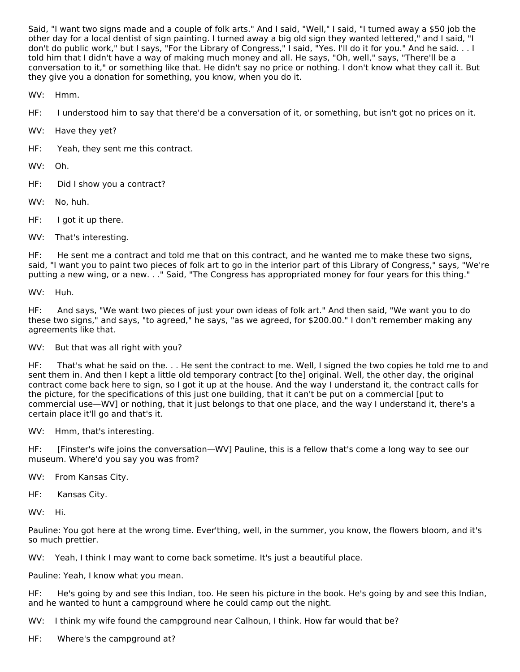Said, "I want two signs made and a couple of folk arts." And I said, "Well," I said, "I turned away a \$50 job the other day for a local dentist of sign painting. I turned away a big old sign they wanted lettered," and I said, "I don't do public work," but I says, "For the Library of Congress," I said, "Yes. I'll do it for you." And he said. . . I told him that I didn't have a way of making much money and all. He says, "Oh, well," says, "There'll be a conversation to it," or something like that. He didn't say no price or nothing. I don't know what they call it. But they give you a donation for something, you know, when you do it.

WV: Hmm.

HF: I understood him to say that there'd be a conversation of it, or something, but isn't got no prices on it.

WV: Have they yet?

HF: Yeah, they sent me this contract.

WV: Oh.

- HF: Did I show you a contract?
- WV: No, huh.
- HF: I got it up there.
- WV: That's interesting.

HF: He sent me a contract and told me that on this contract, and he wanted me to make these two signs, said, "I want you to paint two pieces of folk art to go in the interior part of this Library of Congress," says, "We're putting a new wing, or a new. . ." Said, "The Congress has appropriated money for four years for this thing."

WV: Huh.

HF: And says, "We want two pieces of just your own ideas of folk art." And then said, "We want you to do these two signs," and says, "to agreed," he says, "as we agreed, for \$200.00." I don't remember making any agreements like that.

WV: But that was all right with you?

HF: That's what he said on the. . . He sent the contract to me. Well, I signed the two copies he told me to and sent them in. And then I kept a little old temporary contract [to the] original. Well, the other day, the original contract come back here to sign, so I got it up at the house. And the way I understand it, the contract calls for the picture, for the specifications of this just one building, that it can't be put on a commercial [put to commercial use—WV] or nothing, that it just belongs to that one place, and the way I understand it, there's a certain place it'll go and that's it.

WV: Hmm, that's interesting.

HF: [Finster's wife joins the conversation—WV] Pauline, this is a fellow that's come a long way to see our museum. Where'd you say you was from?

WV: From Kansas City.

HF: Kansas City.

WV: Hi.

Pauline: You got here at the wrong time. Ever'thing, well, in the summer, you know, the flowers bloom, and it's so much prettier.

WV: Yeah, I think I may want to come back sometime. It's just a beautiful place.

Pauline: Yeah, I know what you mean.

HF: He's going by and see this Indian, too. He seen his picture in the book. He's going by and see this Indian, and he wanted to hunt a campground where he could camp out the night.

WV: I think my wife found the campground near Calhoun, I think. How far would that be?

HF: Where's the campground at?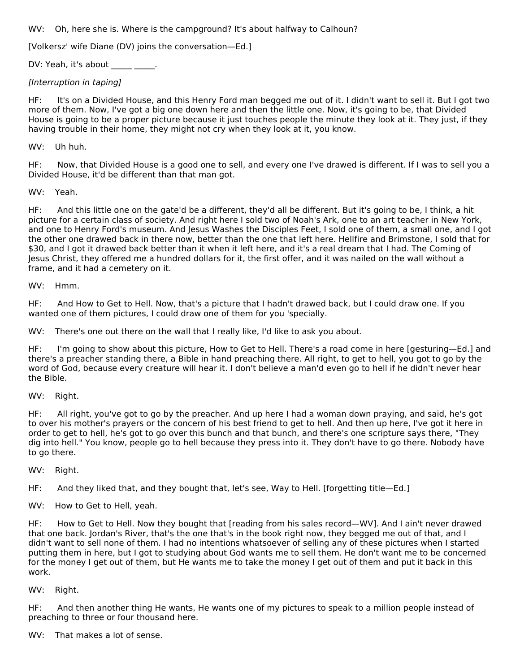WV: Oh, here she is. Where is the campground? It's about halfway to Calhoun?

[Volkersz' wife Diane (DV) joins the conversation—Ed.]

DV: Yeah, it's about \_\_\_\_\_ \_\_\_\_.

# [Interruption in taping]

HF: It's on a Divided House, and this Henry Ford man begged me out of it. I didn't want to sell it. But I got two more of them. Now, I've got a big one down here and then the little one. Now, it's going to be, that Divided House is going to be a proper picture because it just touches people the minute they look at it. They just, if they having trouble in their home, they might not cry when they look at it, you know.

#### WV: Uh huh.

HF: Now, that Divided House is a good one to sell, and every one I've drawed is different. If I was to sell you a Divided House, it'd be different than that man got.

#### WV: Yeah.

HF: And this little one on the gate'd be a different, they'd all be different. But it's going to be, I think, a hit picture for a certain class of society. And right here I sold two of Noah's Ark, one to an art teacher in New York, and one to Henry Ford's museum. And Jesus Washes the Disciples Feet, I sold one of them, a small one, and I got the other one drawed back in there now, better than the one that left here. Hellfire and Brimstone, I sold that for \$30, and I got it drawed back better than it when it left here, and it's a real dream that I had. The Coming of Jesus Christ, they offered me a hundred dollars for it, the first offer, and it was nailed on the wall without a frame, and it had a cemetery on it.

#### WV: Hmm.

HF: And How to Get to Hell. Now, that's a picture that I hadn't drawed back, but I could draw one. If you wanted one of them pictures, I could draw one of them for you 'specially.

WV: There's one out there on the wall that I really like, I'd like to ask you about.

HF: I'm going to show about this picture, How to Get to Hell. There's a road come in here [gesturing—Ed.] and there's a preacher standing there, a Bible in hand preaching there. All right, to get to hell, you got to go by the word of God, because every creature will hear it. I don't believe a man'd even go to hell if he didn't never hear the Bible.

WV: Right.

HF: All right, you've got to go by the preacher. And up here I had a woman down praying, and said, he's got to over his mother's prayers or the concern of his best friend to get to hell. And then up here, I've got it here in order to get to hell, he's got to go over this bunch and that bunch, and there's one scripture says there, "They dig into hell." You know, people go to hell because they press into it. They don't have to go there. Nobody have to go there.

WV: Right.

HF: And they liked that, and they bought that, let's see, Way to Hell. [forgetting title—Ed.]

WV: How to Get to Hell, yeah.

HF: How to Get to Hell. Now they bought that [reading from his sales record—WV]. And I ain't never drawed that one back. Jordan's River, that's the one that's in the book right now, they begged me out of that, and I didn't want to sell none of them. I had no intentions whatsoever of selling any of these pictures when I started putting them in here, but I got to studying about God wants me to sell them. He don't want me to be concerned for the money I get out of them, but He wants me to take the money I get out of them and put it back in this work.

WV: Right.

HF: And then another thing He wants, He wants one of my pictures to speak to a million people instead of preaching to three or four thousand here.

WV: That makes a lot of sense.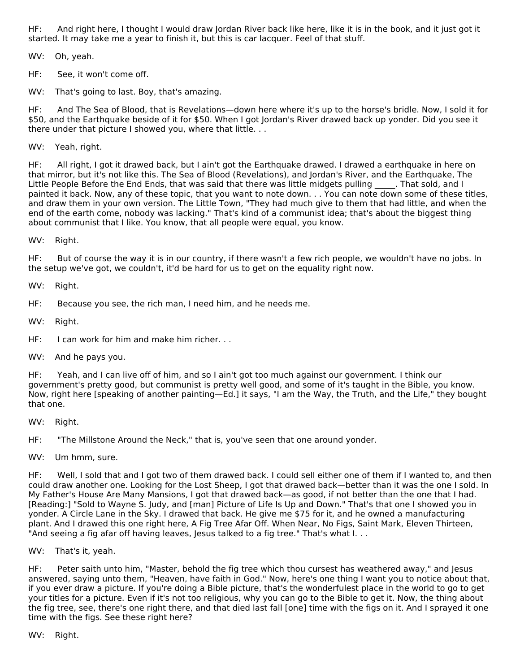HF: And right here, I thought I would draw Jordan River back like here, like it is in the book, and it just got it started. It may take me a year to finish it, but this is car lacquer. Feel of that stuff.

WV: Oh, yeah.

HF: See, it won't come off.

WV: That's going to last. Boy, that's amazing.

HF: And The Sea of Blood, that is Revelations—down here where it's up to the horse's bridle. Now, I sold it for \$50, and the Earthquake beside of it for \$50. When I got Jordan's River drawed back up yonder. Did you see it there under that picture I showed you, where that little. . .

WV: Yeah, right.

HF: All right, I got it drawed back, but I ain't got the Earthquake drawed. I drawed a earthquake in here on that mirror, but it's not like this. The Sea of Blood (Revelations), and Jordan's River, and the Earthquake, The Little People Before the End Ends, that was said that there was little midgets pulling \_\_\_\_\_. That sold, and I painted it back. Now, any of these topic, that you want to note down. . . You can note down some of these titles, and draw them in your own version. The Little Town, "They had much give to them that had little, and when the end of the earth come, nobody was lacking." That's kind of a communist idea; that's about the biggest thing about communist that I like. You know, that all people were equal, you know.

WV: Right.

HF: But of course the way it is in our country, if there wasn't a few rich people, we wouldn't have no jobs. In the setup we've got, we couldn't, it'd be hard for us to get on the equality right now.

WV: Right.

HF: Because you see, the rich man, I need him, and he needs me.

WV: Right.

HF: I can work for him and make him richer. . .

WV: And he pays you.

HF: Yeah, and I can live off of him, and so I ain't got too much against our government. I think our government's pretty good, but communist is pretty well good, and some of it's taught in the Bible, you know. Now, right here [speaking of another painting—Ed.] it says, "I am the Way, the Truth, and the Life," they bought that one.

WV: Right.

HF: "The Millstone Around the Neck," that is, you've seen that one around yonder.

WV: Um hmm, sure.

HF: Well, I sold that and I got two of them drawed back. I could sell either one of them if I wanted to, and then could draw another one. Looking for the Lost Sheep, I got that drawed back—better than it was the one I sold. In My Father's House Are Many Mansions, I got that drawed back—as good, if not better than the one that I had. [Reading:] "Sold to Wayne S. Judy, and [man] Picture of Life Is Up and Down." That's that one I showed you in yonder. A Circle Lane in the Sky. I drawed that back. He give me \$75 for it, and he owned a manufacturing plant. And I drawed this one right here, A Fig Tree Afar Off. When Near, No Figs, Saint Mark, Eleven Thirteen, "And seeing a fig afar off having leaves, Jesus talked to a fig tree." That's what I...

WV: That's it, yeah.

HF: Peter saith unto him, "Master, behold the fig tree which thou cursest has weathered away," and Jesus answered, saying unto them, "Heaven, have faith in God." Now, here's one thing I want you to notice about that, if you ever draw a picture. If you're doing a Bible picture, that's the wonderfulest place in the world to go to get your titles for a picture. Even if it's not too religious, why you can go to the Bible to get it. Now, the thing about the fig tree, see, there's one right there, and that died last fall [one] time with the figs on it. And I sprayed it one time with the figs. See these right here?

WV: Right.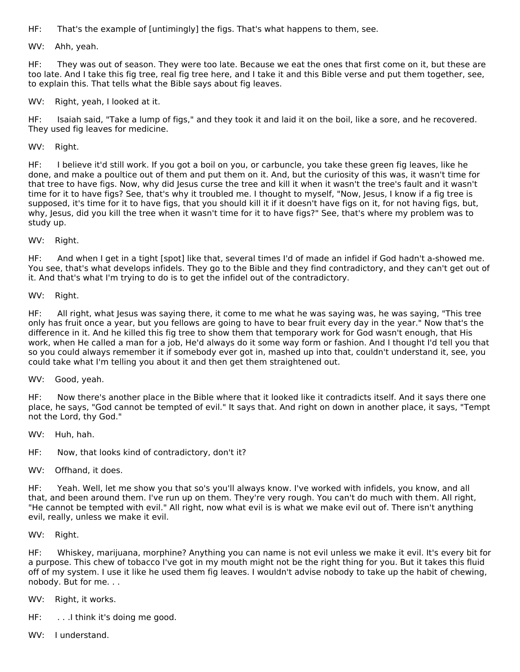HF: That's the example of [untimingly] the figs. That's what happens to them, see.

WV: Ahh, yeah.

HF: They was out of season. They were too late. Because we eat the ones that first come on it, but these are too late. And I take this fig tree, real fig tree here, and I take it and this Bible verse and put them together, see, to explain this. That tells what the Bible says about fig leaves.

WV: Right, yeah, I looked at it.

HF: Isaiah said, "Take a lump of figs," and they took it and laid it on the boil, like a sore, and he recovered. They used fig leaves for medicine.

WV: Right.

HF: I believe it'd still work. If you got a boil on you, or carbuncle, you take these green fig leaves, like he done, and make a poultice out of them and put them on it. And, but the curiosity of this was, it wasn't time for that tree to have figs. Now, why did Jesus curse the tree and kill it when it wasn't the tree's fault and it wasn't time for it to have figs? See, that's why it troubled me. I thought to myself, "Now, Jesus, I know if a fig tree is supposed, it's time for it to have figs, that you should kill it if it doesn't have figs on it, for not having figs, but, why, Jesus, did you kill the tree when it wasn't time for it to have figs?" See, that's where my problem was to study up.

WV: Right.

HF: And when I get in a tight [spot] like that, several times I'd of made an infidel if God hadn't a-showed me. You see, that's what develops infidels. They go to the Bible and they find contradictory, and they can't get out of it. And that's what I'm trying to do is to get the infidel out of the contradictory.

WV: Right.

HF: All right, what Jesus was saying there, it come to me what he was saying was, he was saying, "This tree only has fruit once a year, but you fellows are going to have to bear fruit every day in the year." Now that's the difference in it. And he killed this fig tree to show them that temporary work for God wasn't enough, that His work, when He called a man for a job, He'd always do it some way form or fashion. And I thought I'd tell you that so you could always remember it if somebody ever got in, mashed up into that, couldn't understand it, see, you could take what I'm telling you about it and then get them straightened out.

WV: Good, yeah.

HF: Now there's another place in the Bible where that it looked like it contradicts itself. And it says there one place, he says, "God cannot be tempted of evil." It says that. And right on down in another place, it says, "Tempt not the Lord, thy God."

WV: Huh, hah.

HF: Now, that looks kind of contradictory, don't it?

WV: Offhand, it does.

HF: Yeah. Well, let me show you that so's you'll always know. I've worked with infidels, you know, and all that, and been around them. I've run up on them. They're very rough. You can't do much with them. All right, "He cannot be tempted with evil." All right, now what evil is is what we make evil out of. There isn't anything evil, really, unless we make it evil.

WV: Right.

HF: Whiskey, marijuana, morphine? Anything you can name is not evil unless we make it evil. It's every bit for a purpose. This chew of tobacco I've got in my mouth might not be the right thing for you. But it takes this fluid off of my system. I use it like he used them fig leaves. I wouldn't advise nobody to take up the habit of chewing, nobody. But for me. . .

- WV: Right, it works.
- HF: . . .I think it's doing me good.
- WV: I understand.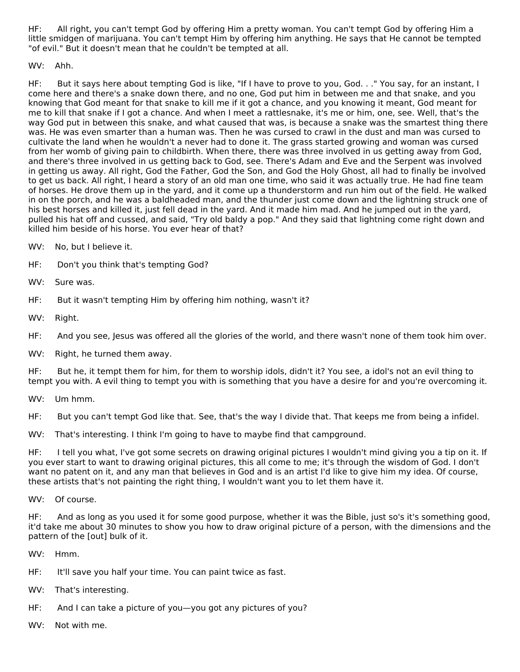HF: All right, you can't tempt God by offering Him a pretty woman. You can't tempt God by offering Him a little smidgen of marijuana. You can't tempt Him by offering him anything. He says that He cannot be tempted "of evil." But it doesn't mean that he couldn't be tempted at all.

# WV: Ahh.

HF: But it says here about tempting God is like, "If I have to prove to you, God. . ." You say, for an instant, I come here and there's a snake down there, and no one, God put him in between me and that snake, and you knowing that God meant for that snake to kill me if it got a chance, and you knowing it meant, God meant for me to kill that snake if I got a chance. And when I meet a rattlesnake, it's me or him, one, see. Well, that's the way God put in between this snake, and what caused that was, is because a snake was the smartest thing there was. He was even smarter than a human was. Then he was cursed to crawl in the dust and man was cursed to cultivate the land when he wouldn't a never had to done it. The grass started growing and woman was cursed from her womb of giving pain to childbirth. When there, there was three involved in us getting away from God, and there's three involved in us getting back to God, see. There's Adam and Eve and the Serpent was involved in getting us away. All right, God the Father, God the Son, and God the Holy Ghost, all had to finally be involved to get us back. All right, I heard a story of an old man one time, who said it was actually true. He had fine team of horses. He drove them up in the yard, and it come up a thunderstorm and run him out of the field. He walked in on the porch, and he was a baldheaded man, and the thunder just come down and the lightning struck one of his best horses and killed it, just fell dead in the yard. And it made him mad. And he jumped out in the yard, pulled his hat off and cussed, and said, "Try old baldy a pop." And they said that lightning come right down and killed him beside of his horse. You ever hear of that?

WV: No, but I believe it.

- HF: Don't you think that's tempting God?
- WV: Sure was.
- HF: But it wasn't tempting Him by offering him nothing, wasn't it?
- WV: Right.
- HF: And you see, Jesus was offered all the glories of the world, and there wasn't none of them took him over.
- WV: Right, he turned them away.

HF: But he, it tempt them for him, for them to worship idols, didn't it? You see, a idol's not an evil thing to tempt you with. A evil thing to tempt you with is something that you have a desire for and you're overcoming it.

WV: Um hmm.

HF: But you can't tempt God like that. See, that's the way I divide that. That keeps me from being a infidel.

WV: That's interesting. I think I'm going to have to maybe find that campground.

HF: I tell you what, I've got some secrets on drawing original pictures I wouldn't mind giving you a tip on it. If you ever start to want to drawing original pictures, this all come to me; it's through the wisdom of God. I don't want no patent on it, and any man that believes in God and is an artist I'd like to give him my idea. Of course, these artists that's not painting the right thing, I wouldn't want you to let them have it.

WV: Of course.

HF: And as long as you used it for some good purpose, whether it was the Bible, just so's it's something good, it'd take me about 30 minutes to show you how to draw original picture of a person, with the dimensions and the pattern of the [out] bulk of it.

WV: Hmm.

- HF: It'll save you half your time. You can paint twice as fast.
- WV: That's interesting.
- HF: And I can take a picture of you—you got any pictures of you?
- WV: Not with me.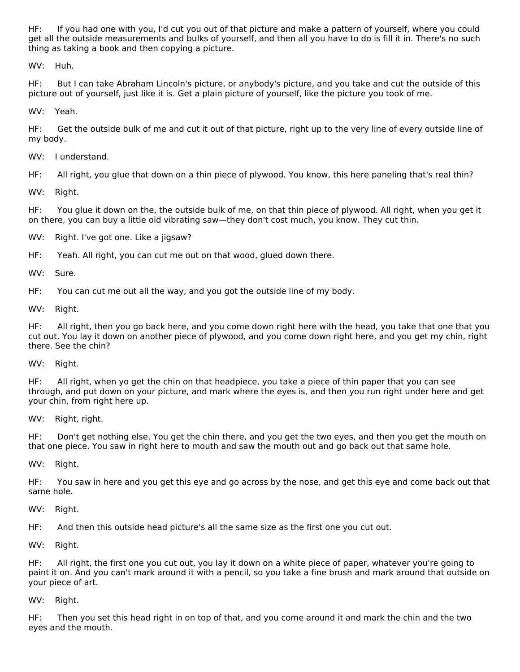HF: If you had one with you, I'd cut you out of that picture and make a pattern of yourself, where you could get all the outside measurements and bulks of yourself, and then all you have to do is fill it in. There's no such thing as taking a book and then copying a picture.

WV: Huh.

HF: But I can take Abraham Lincoln's picture, or anybody's picture, and you take and cut the outside of this picture out of yourself, just like it is. Get a plain picture of yourself, like the picture you took of me.

WV: Yeah.

HF: Get the outside bulk of me and cut it out of that picture, right up to the very line of every outside line of my body.

WV: I understand.

HF: All right, you glue that down on a thin piece of plywood. You know, this here paneling that's real thin?

WV: Right.

HF: You glue it down on the, the outside bulk of me, on that thin piece of plywood. All right, when you get it on there, you can buy a little old vibrating saw—they don't cost much, you know. They cut thin.

WV: Right. I've got one. Like a jigsaw?

HF: Yeah. All right, you can cut me out on that wood, glued down there.

WV: Sure.

HF: You can cut me out all the way, and you got the outside line of my body.

WV: Right.

HF: All right, then you go back here, and you come down right here with the head, you take that one that you cut out. You lay it down on another piece of plywood, and you come down right here, and you get my chin, right there. See the chin?

WV: Right.

HF: All right, when yo get the chin on that headpiece, you take a piece of thin paper that you can see through, and put down on your picture, and mark where the eyes is, and then you run right under here and get your chin, from right here up.

WV: Right, right.

HF: Don't get nothing else. You get the chin there, and you get the two eyes, and then you get the mouth on that one piece. You saw in right here to mouth and saw the mouth out and go back out that same hole.

WV: Right.

HF: You saw in here and you get this eye and go across by the nose, and get this eye and come back out that same hole.

WV: Right.

HF: And then this outside head picture's all the same size as the first one you cut out.

WV: Right.

HF: All right, the first one you cut out, you lay it down on a white piece of paper, whatever you're going to paint it on. And you can't mark around it with a pencil, so you take a fine brush and mark around that outside on your piece of art.

WV: Right.

HF: Then you set this head right in on top of that, and you come around it and mark the chin and the two eyes and the mouth.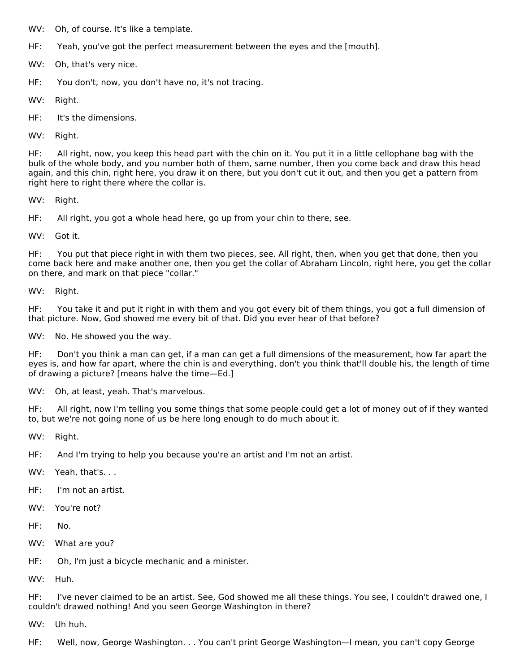WV: Oh, of course. It's like a template.

HF: Yeah, you've got the perfect measurement between the eyes and the [mouth].

WV: Oh, that's very nice.

HF: You don't, now, you don't have no, it's not tracing.

WV: Right.

HF: It's the dimensions.

WV: Right.

HF: All right, now, you keep this head part with the chin on it. You put it in a little cellophane bag with the bulk of the whole body, and you number both of them, same number, then you come back and draw this head again, and this chin, right here, you draw it on there, but you don't cut it out, and then you get a pattern from right here to right there where the collar is.

WV: Right.

HF: All right, you got a whole head here, go up from your chin to there, see.

WV: Got it.

HF: You put that piece right in with them two pieces, see. All right, then, when you get that done, then you come back here and make another one, then you get the collar of Abraham Lincoln, right here, you get the collar on there, and mark on that piece "collar."

WV: Right.

HF: You take it and put it right in with them and you got every bit of them things, you got a full dimension of that picture. Now, God showed me every bit of that. Did you ever hear of that before?

WV: No. He showed you the way.

HF: Don't you think a man can get, if a man can get a full dimensions of the measurement, how far apart the eyes is, and how far apart, where the chin is and everything, don't you think that'll double his, the length of time of drawing a picture? [means halve the time—Ed.]

WV: Oh, at least, yeah. That's marvelous.

HF: All right, now I'm telling you some things that some people could get a lot of money out of if they wanted to, but we're not going none of us be here long enough to do much about it.

WV: Right.

HF: And I'm trying to help you because you're an artist and I'm not an artist.

WV: Yeah, that's. . .

HF: I'm not an artist.

WV: You're not?

HF: No.

WV: What are you?

HF: Oh, I'm just a bicycle mechanic and a minister.

WV: Huh.

HF: I've never claimed to be an artist. See, God showed me all these things. You see, I couldn't drawed one, I couldn't drawed nothing! And you seen George Washington in there?

WV: Uh huh.

HF: Well, now, George Washington. . . You can't print George Washington—I mean, you can't copy George